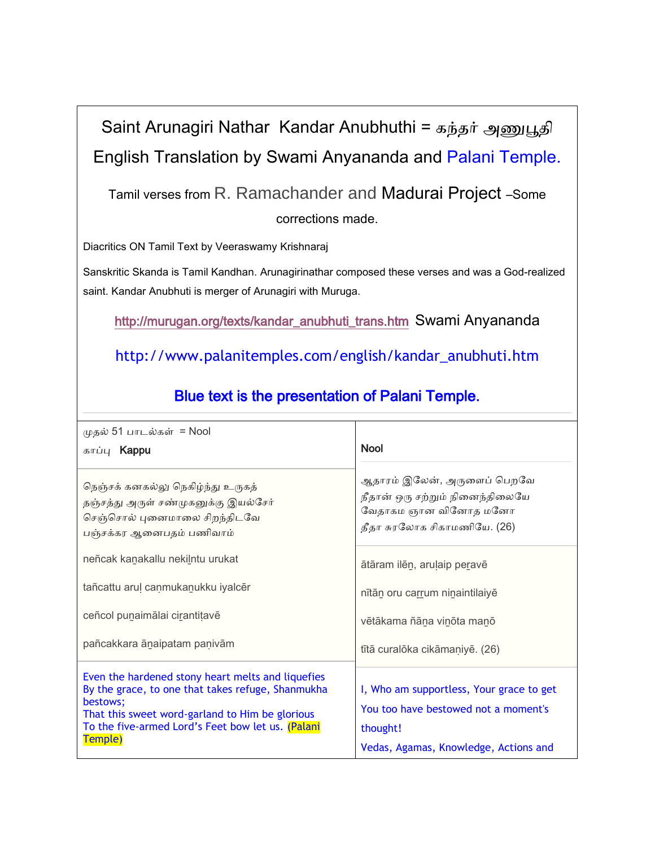## Saint Arunagiri Nathar Kandar Anubhuthi = கந்தர் அணுபூதி English Translation by Swami Anyananda and Palani Temple.

Tamil verses from R. Ramachander and Madurai Project –Some

corrections made.

Diacritics ON Tamil Text by Veeraswamy Krishnaraj

Sanskritic Skanda is Tamil Kandhan. Arunagirinathar composed these verses and was a God-realized saint. Kandar Anubhuti is merger of Arunagiri with Muruga.

[http://murugan.org/texts/kandar\\_anubhuti\\_trans.htm](http://murugan.org/texts/kandar_anubhuti_trans.htm) Swami Anyananda

http://www.palanitemples.com/english/kandar\_anubhuti.htm

| முதல் 51 பாடல்கள்  = Nool<br>காப்பு <b>Kappu</b>                                                                                                                                                                                      | <b>Nool</b>                                                                                                                           |
|---------------------------------------------------------------------------------------------------------------------------------------------------------------------------------------------------------------------------------------|---------------------------------------------------------------------------------------------------------------------------------------|
| நெஞ்சக் கனகல்லு நெகிழ்ந்து உருகத்<br>தஞ்சத்து அருள் சண்முகனுக்கு இயல்சேர்<br>செஞ்சொல் புனைமாலை சிறந்திடவே<br>பஞ்சக்கர ஆனைபதம் பணிவாம்                                                                                                 | ஆதாரம் இலேன், அருளைப் பெறவே<br>நீதான் ஒரு சற்றும் நினைந்திலையே<br>வேதாகம ஞான வினோத மனோ<br>தீதா சுரலோக சிகாமணியே. (26)                 |
| neñcak kanakallu nekilntu urukat                                                                                                                                                                                                      | ātāram ilēn, aruļaip peravē                                                                                                           |
| tañcattu arul canmukanukku iyalcēr                                                                                                                                                                                                    | nītān oru carrum ninaintilaiyē                                                                                                        |
| ceñcol punaimālai cirantitavē                                                                                                                                                                                                         | vētākama ñāna vinōta manō                                                                                                             |
| pañcakkara ānaipatam panivām                                                                                                                                                                                                          | tītā curalōka cikāmaniyē. (26)                                                                                                        |
| Even the hardened stony heart melts and liquefies<br>By the grace, to one that takes refuge, Shanmukha<br>bestows;<br>That this sweet word-garland to Him be glorious<br>To the five-armed Lord's Feet bow let us. (Palani<br>Temple) | I, Who am supportless, Your grace to get<br>You too have bestowed not a moment's<br>thought!<br>Vedas, Agamas, Knowledge, Actions and |

## Blue text is the presentation of Palani Temple.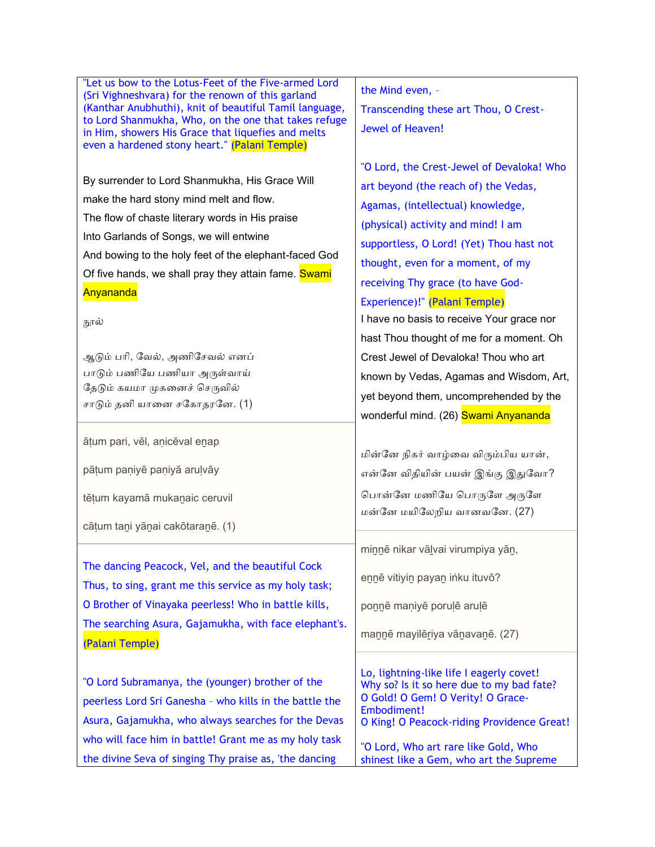| "Let us bow to the Lotus-Feet of the Five-armed Lord                                                            | the Mind even, -                                                                |
|-----------------------------------------------------------------------------------------------------------------|---------------------------------------------------------------------------------|
| (Sri Vighneshvara) for the renown of this garland<br>(Kanthar Anubhuthi), knit of beautiful Tamil language,     | Transcending these art Thou, O Crest-                                           |
| to Lord Shanmukha, Who, on the one that takes refuge<br>in Him, showers His Grace that liquefies and melts      | Jewel of Heaven!                                                                |
| even a hardened stony heart." (Palani Temple)                                                                   |                                                                                 |
|                                                                                                                 | "O Lord, the Crest-Jewel of Devaloka! Who                                       |
| By surrender to Lord Shanmukha, His Grace Will                                                                  | art beyond (the reach of) the Vedas,                                            |
| make the hard stony mind melt and flow.                                                                         | Agamas, (intellectual) knowledge,                                               |
| The flow of chaste literary words in His praise                                                                 | (physical) activity and mind! I am                                              |
| Into Garlands of Songs, we will entwine                                                                         | supportless, O Lord! (Yet) Thou hast not                                        |
| And bowing to the holy feet of the elephant-faced God                                                           | thought, even for a moment, of my                                               |
| Of five hands, we shall pray they attain fame. Swami                                                            | receiving Thy grace (to have God-                                               |
| Anyananda                                                                                                       | Experience)!" (Palani Temple)                                                   |
| நூல்                                                                                                            | I have no basis to receive Your grace nor                                       |
|                                                                                                                 | hast Thou thought of me for a moment. Oh                                        |
| ஆடும் பரி, வேல், அணிசேவல் எனப்                                                                                  | Crest Jewel of Devaloka! Thou who art                                           |
| பாடும் பணியே பணியா அருள்வாய்                                                                                    | known by Vedas, Agamas and Wisdom, Art,                                         |
| தேடும் கயமா முகனைச் செருவில்                                                                                    | yet beyond them, uncomprehended by the                                          |
| சாடும் தனி யானை சகோதரனே. (1)                                                                                    | wonderful mind. (26) Swami Anyananda                                            |
|                                                                                                                 |                                                                                 |
|                                                                                                                 |                                                                                 |
| āțum pari, vēl, anicēval enap                                                                                   |                                                                                 |
|                                                                                                                 | மின்னே நிகர் வாழ்வை விரும்பிய யான்,                                             |
| pātum paņiyē paņiyā aruļvāy                                                                                     | என்னே விதியின் பயன் இங்கு இதுவோ?                                                |
| tēțum kayamā mukanaic ceruvil                                                                                   | பொன்னே மணியே பொருளே அருளே                                                       |
|                                                                                                                 | மன்னே மயிலேறிய வானவனே. (27)                                                     |
| cātum tani yānai cakōtaranē. (1)                                                                                |                                                                                 |
|                                                                                                                 | minnē nikar vālvai virumpiya yān,                                               |
| The dancing Peacock, Vel, and the beautiful Cock                                                                | ennē vitiyin payan inku ituvō?                                                  |
| Thus, to sing, grant me this service as my holy task;                                                           |                                                                                 |
| O Brother of Vinayaka peerless! Who in battle kills,                                                            | ponnē maniyē porulē aruļē                                                       |
| The searching Asura, Gajamukha, with face elephant's.                                                           | mannē mayilēriya vānavanē. (27)                                                 |
| (Palani Temple)                                                                                                 |                                                                                 |
|                                                                                                                 | Lo, lightning-like life I eagerly covet!                                        |
| "O Lord Subramanya, the (younger) brother of the                                                                | Why so? Is it so here due to my bad fate?                                       |
| peerless Lord Sri Ganesha - who kills in the battle the                                                         | O Gold! O Gem! O Verity! O Grace-<br>Embodiment!                                |
| Asura, Gajamukha, who always searches for the Devas                                                             | O King! O Peacock-riding Providence Great!                                      |
| who will face him in battle! Grant me as my holy task<br>the divine Seva of singing Thy praise as, 'the dancing | "O Lord, Who art rare like Gold, Who<br>shinest like a Gem, who art the Supreme |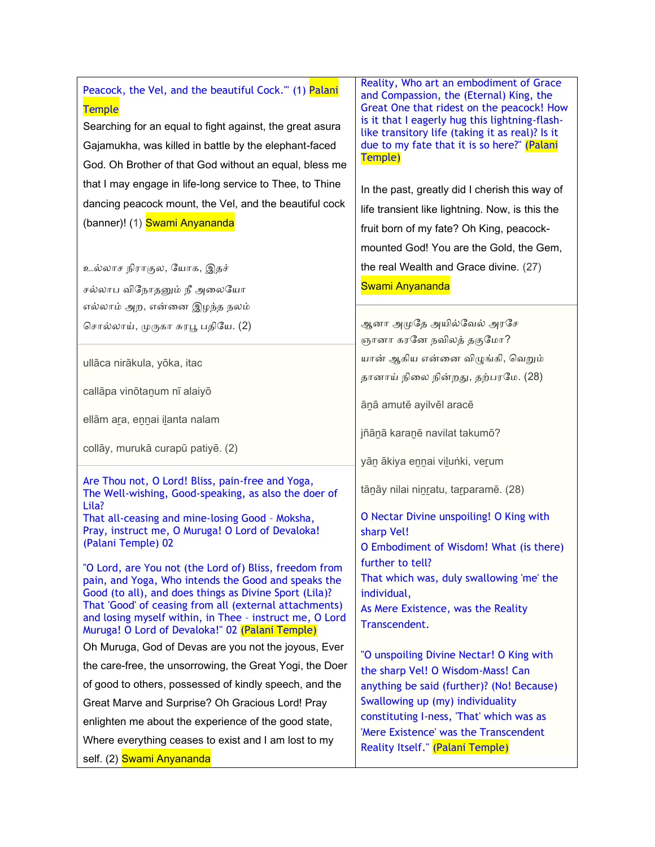| Peacock, the Vel, and the beautiful Cock." (1) Palani<br><b>Temple</b><br>Searching for an equal to fight against, the great asura<br>Gajamukha, was killed in battle by the elephant-faced<br>God. Oh Brother of that God without an equal, bless me<br>that I may engage in life-long service to Thee, to Thine<br>dancing peacock mount, the Vel, and the beautiful cock<br>(banner)! (1) Swami Anyananda | Reality, Who art an embodiment of Grace<br>and Compassion, the (Eternal) King, the<br>Great One that ridest on the peacock! How<br>is it that I eagerly hug this lightning-flash-<br>like transitory life (taking it as real)? Is it<br>due to my fate that it is so here?" (Palani<br>Temple)<br>In the past, greatly did I cherish this way of<br>life transient like lightning. Now, is this the<br>fruit born of my fate? Oh King, peacock-<br>mounted God! You are the Gold, the Gem, |
|--------------------------------------------------------------------------------------------------------------------------------------------------------------------------------------------------------------------------------------------------------------------------------------------------------------------------------------------------------------------------------------------------------------|--------------------------------------------------------------------------------------------------------------------------------------------------------------------------------------------------------------------------------------------------------------------------------------------------------------------------------------------------------------------------------------------------------------------------------------------------------------------------------------------|
| உல்லாச நிராகுல, யோக, இதச்                                                                                                                                                                                                                                                                                                                                                                                    | the real Wealth and Grace divine. (27)                                                                                                                                                                                                                                                                                                                                                                                                                                                     |
| சல்லாப விநோதனும் நீ அலையோ                                                                                                                                                                                                                                                                                                                                                                                    | Swami Anyananda                                                                                                                                                                                                                                                                                                                                                                                                                                                                            |
| எல்லாம் அற, என்னை இழந்த நலம்                                                                                                                                                                                                                                                                                                                                                                                 |                                                                                                                                                                                                                                                                                                                                                                                                                                                                                            |
| சொல்லாய், முருகா சுரபூ பதியே. (2)                                                                                                                                                                                                                                                                                                                                                                            | ஆனா அமுதே அயில்வேல் அரசே                                                                                                                                                                                                                                                                                                                                                                                                                                                                   |
|                                                                                                                                                                                                                                                                                                                                                                                                              | ஞானா கரனே நவிலத் தகுமோ?                                                                                                                                                                                                                                                                                                                                                                                                                                                                    |
| ullāca nirākula, yōka, itac                                                                                                                                                                                                                                                                                                                                                                                  | யான் ஆகிய என்னை விழுங்கி, வெறும்                                                                                                                                                                                                                                                                                                                                                                                                                                                           |
| callāpa vinōtanum nī alaiyō                                                                                                                                                                                                                                                                                                                                                                                  | தானாய் நிலை நின்றது, தற்பரமே. (28)                                                                                                                                                                                                                                                                                                                                                                                                                                                         |
|                                                                                                                                                                                                                                                                                                                                                                                                              | ānā amutē ayilvēl aracē                                                                                                                                                                                                                                                                                                                                                                                                                                                                    |
| ellām ara, ennai ilanta nalam                                                                                                                                                                                                                                                                                                                                                                                |                                                                                                                                                                                                                                                                                                                                                                                                                                                                                            |
|                                                                                                                                                                                                                                                                                                                                                                                                              | jñānā karanē navilat takumō?                                                                                                                                                                                                                                                                                                                                                                                                                                                               |
| collāy, murukā curapū patiyē. (2)                                                                                                                                                                                                                                                                                                                                                                            | yān ākiya ennai vilunki, verum                                                                                                                                                                                                                                                                                                                                                                                                                                                             |
| Are Thou not, O Lord! Bliss, pain-free and Yoga,<br>The Well-wishing, Good-speaking, as also the doer of<br>Lila?                                                                                                                                                                                                                                                                                            | tānāy nilai ninratu, tarparamē. (28)                                                                                                                                                                                                                                                                                                                                                                                                                                                       |
| That all-ceasing and mine-losing Good - Moksha,                                                                                                                                                                                                                                                                                                                                                              | O Nectar Divine unspoiling! O King with                                                                                                                                                                                                                                                                                                                                                                                                                                                    |
| Pray, instruct me, O Muruga! O Lord of Devaloka!<br>(Palani Temple) 02                                                                                                                                                                                                                                                                                                                                       | sharp Vel!                                                                                                                                                                                                                                                                                                                                                                                                                                                                                 |
|                                                                                                                                                                                                                                                                                                                                                                                                              | O Embodiment of Wisdom! What (is there)<br>further to tell?                                                                                                                                                                                                                                                                                                                                                                                                                                |
| "O Lord, are You not (the Lord of) Bliss, freedom from<br>pain, and Yoga, Who intends the Good and speaks the                                                                                                                                                                                                                                                                                                | That which was, duly swallowing 'me' the                                                                                                                                                                                                                                                                                                                                                                                                                                                   |
| Good (to all), and does things as Divine Sport (Lila)?                                                                                                                                                                                                                                                                                                                                                       | individual,                                                                                                                                                                                                                                                                                                                                                                                                                                                                                |
| That 'Good' of ceasing from all (external attachments)<br>and losing myself within, in Thee - instruct me, O Lord                                                                                                                                                                                                                                                                                            | As Mere Existence, was the Reality                                                                                                                                                                                                                                                                                                                                                                                                                                                         |
| Muruga! O Lord of Devaloka!" 02 (Palani Temple)                                                                                                                                                                                                                                                                                                                                                              | Transcendent.                                                                                                                                                                                                                                                                                                                                                                                                                                                                              |
| Oh Muruga, God of Devas are you not the joyous, Ever                                                                                                                                                                                                                                                                                                                                                         | "O unspoiling Divine Nectar! O King with                                                                                                                                                                                                                                                                                                                                                                                                                                                   |
| the care-free, the unsorrowing, the Great Yogi, the Doer                                                                                                                                                                                                                                                                                                                                                     | the sharp Vel! O Wisdom-Mass! Can                                                                                                                                                                                                                                                                                                                                                                                                                                                          |
| of good to others, possessed of kindly speech, and the                                                                                                                                                                                                                                                                                                                                                       | anything be said (further)? (No! Because)                                                                                                                                                                                                                                                                                                                                                                                                                                                  |
| Great Marve and Surprise? Oh Gracious Lord! Pray                                                                                                                                                                                                                                                                                                                                                             | Swallowing up (my) individuality                                                                                                                                                                                                                                                                                                                                                                                                                                                           |
| enlighten me about the experience of the good state,                                                                                                                                                                                                                                                                                                                                                         | constituting I-ness, 'That' which was as                                                                                                                                                                                                                                                                                                                                                                                                                                                   |
| Where everything ceases to exist and I am lost to my                                                                                                                                                                                                                                                                                                                                                         | 'Mere Existence' was the Transcendent<br>Reality Itself." (Palani Temple)                                                                                                                                                                                                                                                                                                                                                                                                                  |
| self. (2) Swami Anyananda                                                                                                                                                                                                                                                                                                                                                                                    |                                                                                                                                                                                                                                                                                                                                                                                                                                                                                            |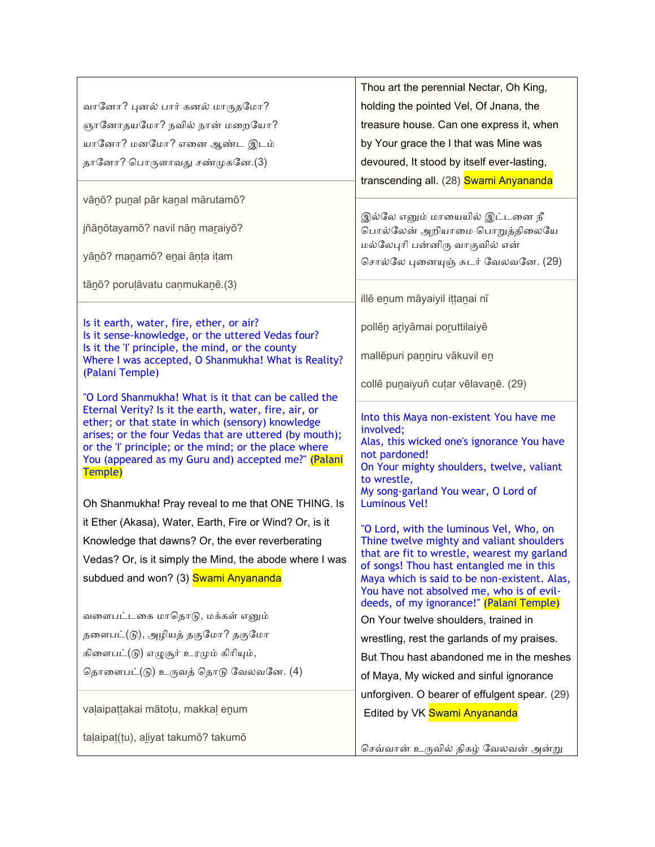|                                                                                                                                                                                                                                                                                                                                                                                                               | Thou art the perennial Nectar, Oh King,                                                                                                                                                                                                        |
|---------------------------------------------------------------------------------------------------------------------------------------------------------------------------------------------------------------------------------------------------------------------------------------------------------------------------------------------------------------------------------------------------------------|------------------------------------------------------------------------------------------------------------------------------------------------------------------------------------------------------------------------------------------------|
| வானோ? புனல் பார் கனல் மாருதமோ?                                                                                                                                                                                                                                                                                                                                                                                | holding the pointed Vel, Of Jnana, the                                                                                                                                                                                                         |
| ஞானோதயமோ? நவில் நான் மறையோ?                                                                                                                                                                                                                                                                                                                                                                                   | treasure house. Can one express it, when                                                                                                                                                                                                       |
| யானோ? மனமோ? எனை ஆண்ட இடம்                                                                                                                                                                                                                                                                                                                                                                                     | by Your grace the I that was Mine was                                                                                                                                                                                                          |
| தானோ? பொருளாவது சண்முகனே.(3)                                                                                                                                                                                                                                                                                                                                                                                  | devoured, It stood by itself ever-lasting,                                                                                                                                                                                                     |
|                                                                                                                                                                                                                                                                                                                                                                                                               | transcending all. (28) Swami Anyananda                                                                                                                                                                                                         |
| vānō? punal pār kanal mārutamō?                                                                                                                                                                                                                                                                                                                                                                               |                                                                                                                                                                                                                                                |
| jñānōtayamō? navil nān maraiyō?                                                                                                                                                                                                                                                                                                                                                                               | இல்லே எனும் மாயையில் இட்டனை நீ<br>பொல்லேன் அறியாமை பொறுத்திலையே<br>மல்லேபுரி பன்னிரு வாகுவில் என்                                                                                                                                              |
| yānō? manamō? enai āņța ițam                                                                                                                                                                                                                                                                                                                                                                                  | சொல்லே புனையுஞ் சுடர் வேலவனே. (29)                                                                                                                                                                                                             |
| tānō? poruļāvatu caņmukanē.(3)                                                                                                                                                                                                                                                                                                                                                                                |                                                                                                                                                                                                                                                |
|                                                                                                                                                                                                                                                                                                                                                                                                               | illē enum māyaiyil ittanai nī                                                                                                                                                                                                                  |
| Is it earth, water, fire, ether, or air?<br>Is it sense-knowledge, or the uttered Vedas four?                                                                                                                                                                                                                                                                                                                 | pollēn ariyāmai poruttilaiyē                                                                                                                                                                                                                   |
| Is it the 'l' principle, the mind, or the county<br>Where I was accepted, O Shanmukha! What is Reality?<br>(Palani Temple)                                                                                                                                                                                                                                                                                    | mallēpuri panniru vākuvil en                                                                                                                                                                                                                   |
|                                                                                                                                                                                                                                                                                                                                                                                                               | collē punaiyuñ cutar vēlavanē. (29)                                                                                                                                                                                                            |
| "O Lord Shanmukha! What is it that can be called the<br>Eternal Verity? Is it the earth, water, fire, air, or<br>ether; or that state in which (sensory) knowledge<br>arises; or the four Vedas that are uttered (by mouth);<br>or the 'l' principle; or the mind; or the place where<br>You (appeared as my Guru and) accepted me?" (Palani<br>Temple)<br>Oh Shanmukha! Pray reveal to me that ONE THING. Is | Into this Maya non-existent You have me<br>involved;<br>Alas, this wicked one's ignorance You have<br>not pardoned!<br>On Your mighty shoulders, twelve, valiant<br>to wrestle,<br>My song-garland You wear, O Lord of<br><b>Luminous Vel!</b> |
| it Ether (Akasa), Water, Earth, Fire or Wind? Or, is it                                                                                                                                                                                                                                                                                                                                                       | "O Lord, with the luminous Vel, Who, on                                                                                                                                                                                                        |
| Knowledge that dawns? Or, the ever reverberating                                                                                                                                                                                                                                                                                                                                                              | Thine twelve mighty and valiant shoulders                                                                                                                                                                                                      |
| Vedas? Or, is it simply the Mind, the abode where I was                                                                                                                                                                                                                                                                                                                                                       | that are fit to wrestle, wearest my garland<br>of songs! Thou hast entangled me in this                                                                                                                                                        |
| subdued and won? (3) Swami Anyananda                                                                                                                                                                                                                                                                                                                                                                          | Maya which is said to be non-existent. Alas,<br>You have not absolved me, who is of evil-<br>deeds, of my ignorance!" (Palani Temple)                                                                                                          |
| வளைபட்டகை மாதொடு, மக்கள் எனும்                                                                                                                                                                                                                                                                                                                                                                                | On Your twelve shoulders, trained in                                                                                                                                                                                                           |
| தளைபட்(டு), அழியத் தகுமோ? தகுமோ                                                                                                                                                                                                                                                                                                                                                                               | wrestling, rest the garlands of my praises.                                                                                                                                                                                                    |
| கிளைபட்(டு) எழுசூர் உரமும் கிரியும்,                                                                                                                                                                                                                                                                                                                                                                          | But Thou hast abandoned me in the meshes                                                                                                                                                                                                       |
| தொளைபட்(டு) உருவத் தொடு வேலவனே. (4)                                                                                                                                                                                                                                                                                                                                                                           | of Maya, My wicked and sinful ignorance                                                                                                                                                                                                        |
|                                                                                                                                                                                                                                                                                                                                                                                                               | unforgiven. O bearer of effulgent spear. (29)                                                                                                                                                                                                  |
| valaipattakai mātotu, makkal enum                                                                                                                                                                                                                                                                                                                                                                             | Edited by VK Swami Anyananda                                                                                                                                                                                                                   |
| taļaipat(tu), aliyat takumō? takumō                                                                                                                                                                                                                                                                                                                                                                           | செவ்வான் உருவில் திகழ் வேலவன் அன்று                                                                                                                                                                                                            |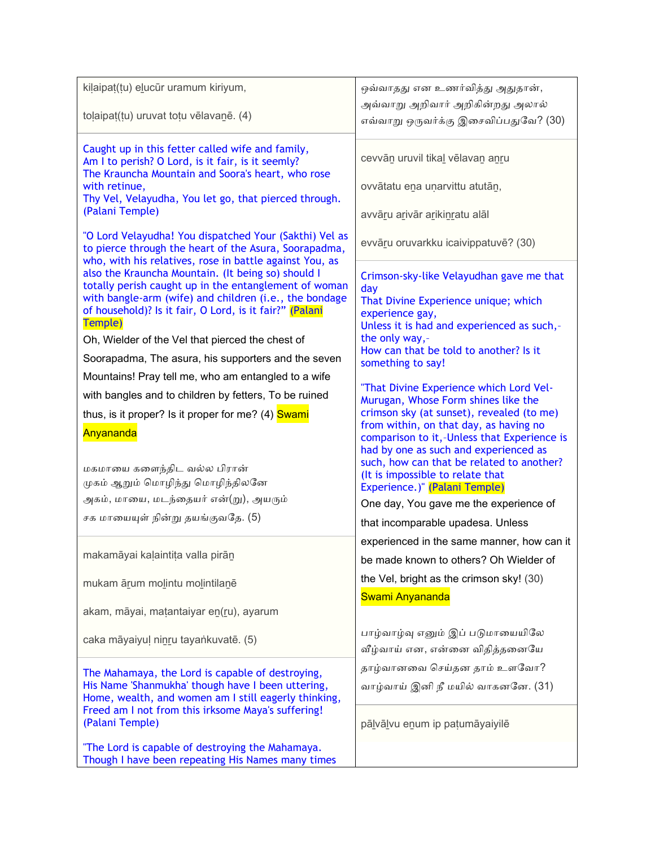| kilaipat(tu) elucūr uramum kiriyum,                                                                              | ஒவ்வாதது என உணர்வித்து அதுதான்,                                                       |
|------------------------------------------------------------------------------------------------------------------|---------------------------------------------------------------------------------------|
| tolaipat(tu) uruvat toțu vēlavanē. (4)                                                                           | அவ்வாறு அறிவார் அறிகின்றது அலால்                                                      |
|                                                                                                                  | எவ்வாறு ஒருவர்க்கு இசைவிப்பதுவே? (30)                                                 |
| Caught up in this fetter called wife and family,                                                                 |                                                                                       |
| Am I to perish? O Lord, is it fair, is it seemly?                                                                | cevvān uruvil tikal vēlavan anru                                                      |
| The Krauncha Mountain and Soora's heart, who rose<br>with retinue,                                               | ovvātatu ena unarvittu atutān,                                                        |
| Thy Vel, Velayudha, You let go, that pierced through.                                                            |                                                                                       |
| (Palani Temple)                                                                                                  | avvāru arivār arikinratu alāl                                                         |
| "O Lord Velayudha! You dispatched Your (Sakthi) Vel as                                                           | evvāru oruvarkku icaivippatuvē? (30)                                                  |
| to pierce through the heart of the Asura, Soorapadma,<br>who, with his relatives, rose in battle against You, as |                                                                                       |
| also the Krauncha Mountain. (It being so) should I                                                               | Crimson-sky-like Velayudhan gave me that                                              |
| totally perish caught up in the entanglement of woman<br>with bangle-arm (wife) and children (i.e., the bondage  | day                                                                                   |
| of household)? Is it fair, O Lord, is it fair?" (Palani                                                          | That Divine Experience unique; which<br>experience gay,                               |
| Temple)                                                                                                          | Unless it is had and experienced as such,-                                            |
| Oh, Wielder of the Vel that pierced the chest of                                                                 | the only way,-<br>How can that be told to another? Is it                              |
| Soorapadma, The asura, his supporters and the seven                                                              | something to say!                                                                     |
| Mountains! Pray tell me, who am entangled to a wife                                                              | "That Divine Experience which Lord Vel-                                               |
| with bangles and to children by fetters, To be ruined                                                            | Murugan, Whose Form shines like the                                                   |
| thus, is it proper? Is it proper for me? (4) Swami                                                               | crimson sky (at sunset), revealed (to me)                                             |
| Anyananda                                                                                                        | from within, on that day, as having no<br>comparison to it,-Unless that Experience is |
|                                                                                                                  | had by one as such and experienced as                                                 |
| மகமாயை களைந்திட வல்ல பிரான்                                                                                      | such, how can that be related to another?<br>(It is impossible to relate that         |
| முகம் ஆறும் மொழிந்து மொழிந்திலனே                                                                                 | Experience.)" (Palani Temple)                                                         |
| அகம், மாயை, மடந்தையர் என்(று), அயரும்                                                                            | One day, You gave me the experience of                                                |
| சக மாயையுள் நின்று தயங்குவதே. (5)                                                                                | that incomparable upadesa. Unless                                                     |
|                                                                                                                  | experienced in the same manner, how can it                                            |
| makamāyai kaļaintita valla pirān                                                                                 | be made known to others? Oh Wielder of                                                |
| mukam ārum molintu molintilanē                                                                                   | the Vel, bright as the crimson sky! (30)                                              |
|                                                                                                                  | Swami Anyananda                                                                       |
| akam, māyai, matantaiyar en(ru), ayarum                                                                          |                                                                                       |
| caka māyaiyul ninru tayankuvatē. (5)                                                                             | பாழ்வாழ்வு எனும் இப் படுமாயையிலே                                                      |
|                                                                                                                  | வீழ்வாய் என, என்னை விதித்தனையே                                                        |
| The Mahamaya, the Lord is capable of destroying,                                                                 | தாழ்வானவை செய்தன தாம் உளவோ?                                                           |
| His Name 'Shanmukha' though have I been uttering,                                                                | வாழ்வாய் இனி நீ மயில் வாகனனே. (31)                                                    |
| Home, wealth, and women am I still eagerly thinking,<br>Freed am I not from this irksome Maya's suffering!       |                                                                                       |
| (Palani Temple)                                                                                                  | pālvālvu enum ip patumāyaiyilē                                                        |
| "The Lord is capable of destroying the Mahamaya.                                                                 |                                                                                       |
| Though I have been repeating His Names many times                                                                |                                                                                       |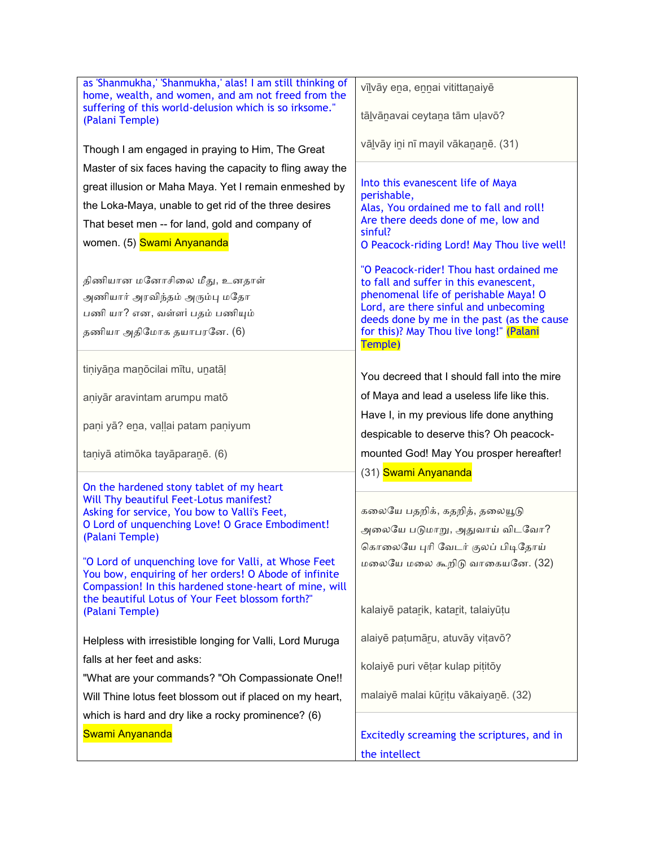| as 'Shanmukha,' 'Shanmukha,' alas! I am still thinking of<br>home, wealth, and women, and am not freed from the | vīlvāy ena, ennai vitittanaiyē                                                        |
|-----------------------------------------------------------------------------------------------------------------|---------------------------------------------------------------------------------------|
| suffering of this world-delusion which is so irksome."<br>(Palani Temple)                                       | tālvānavai ceytana tām uļavō?                                                         |
| Though I am engaged in praying to Him, The Great                                                                | vālvāy ini nī mayil vākananē. (31)                                                    |
| Master of six faces having the capacity to fling away the                                                       |                                                                                       |
| great illusion or Maha Maya. Yet I remain enmeshed by                                                           | Into this evanescent life of Maya<br>perishable,                                      |
| the Loka-Maya, unable to get rid of the three desires                                                           | Alas, You ordained me to fall and roll!                                               |
| That beset men -- for land, gold and company of                                                                 | Are there deeds done of me, low and                                                   |
| women. (5) Swami Anyananda                                                                                      | sinful?<br>O Peacock-riding Lord! May Thou live well!                                 |
|                                                                                                                 |                                                                                       |
| திணியான மனோசிலை மீது, உனதாள்                                                                                    | "O Peacock-rider! Thou hast ordained me<br>to fall and suffer in this evanescent,     |
| அணியார் அரவிந்தம் அரும்பு மதோ                                                                                   | phenomenal life of perishable Maya! O                                                 |
| பணி யா? என, வள்ளi பதம் பணியும்                                                                                  | Lord, are there sinful and unbecoming                                                 |
| தணியா அதிமோக தயாபரனே. (6)                                                                                       | deeds done by me in the past (as the cause<br>for this)? May Thou live long!" (Palani |
|                                                                                                                 | Temple)                                                                               |
| tiniyāna manōcilai mītu, unatāl                                                                                 |                                                                                       |
|                                                                                                                 | You decreed that I should fall into the mire                                          |
| aniyār aravintam arumpu matō                                                                                    | of Maya and lead a useless life like this.                                            |
| paņi yā? ena, vaļļai patam paņiyum                                                                              | Have I, in my previous life done anything                                             |
|                                                                                                                 | despicable to deserve this? Oh peacock-                                               |
| taniyā atimōka tayāparanē. (6)                                                                                  | mounted God! May You prosper hereafter!                                               |
|                                                                                                                 | (31) Swami Anyananda                                                                  |
| On the hardened stony tablet of my heart<br>Will Thy beautiful Feet-Lotus manifest?                             |                                                                                       |
| Asking for service, You bow to Valli's Feet,                                                                    | கலையே பதறிக், கதறித், தலையூடு                                                         |
| O Lord of unquenching Love! O Grace Embodiment!                                                                 | அலையே படுமாறு, அதுவாய் விடவோ?                                                         |
| (Palani Temple)                                                                                                 | கொலையே புரி வேடர் குலப் பிடிதோய்                                                      |
| "O Lord of unquenching love for Valli, at Whose Feet                                                            | மலையே மலை கூறிடு வாகையனே. (32)                                                        |
| You bow, enquiring of her orders! O Abode of infinite<br>Compassion! In this hardened stone-heart of mine, will |                                                                                       |
| the beautiful Lotus of Your Feet blossom forth?"                                                                |                                                                                       |
| (Palani Temple)                                                                                                 | kalaiyē patarik, katarit, talaiyūțu                                                   |
| Helpless with irresistible longing for Valli, Lord Muruga                                                       | alaiyē patumāru, atuvāy vitavō?                                                       |
| falls at her feet and asks:                                                                                     |                                                                                       |
| "What are your commands? "Oh Compassionate One!!                                                                | kolaiyē puri vētar kulap pititōy                                                      |
| Will Thine lotus feet blossom out if placed on my heart,                                                        | malaiyē malai kūritu vākaiyanē. (32)                                                  |
| which is hard and dry like a rocky prominence? (6)                                                              |                                                                                       |
| Swami Anyananda                                                                                                 | Excitedly screaming the scriptures, and in                                            |
|                                                                                                                 | the intellect                                                                         |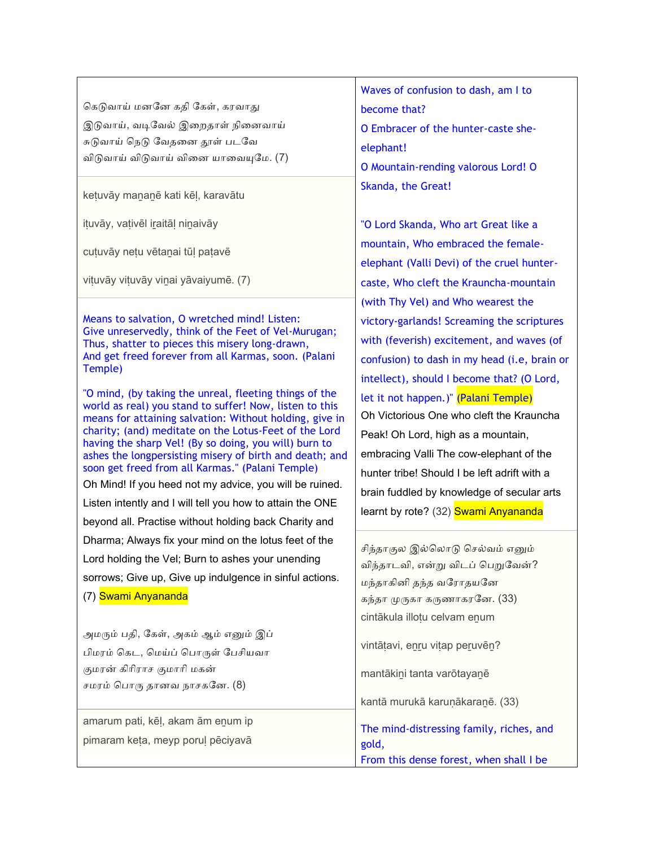| கெடுவாய் மனனே கதி கேள், கரவாது<br>இடுவாய், வடிவேல் இறைதாள் நினைவாய்<br>சுடுவாய் நெடு வேதனை தூள் படவே<br>விடுவாய் விடுவாய் வினை யாவையுமே. (7)<br>ketuvāy mananē kati kēļ, karavātu                                                                                                                                                                                                                                                                                                                                                                                                                                                                                                                                                                                            | Waves of confusion to dash, am I to<br>become that?<br>O Embracer of the hunter-caste she-<br>elephant!<br>O Mountain-rending valorous Lord! O<br>Skanda, the Great!                                                                                                                                                                                                                                                                               |
|------------------------------------------------------------------------------------------------------------------------------------------------------------------------------------------------------------------------------------------------------------------------------------------------------------------------------------------------------------------------------------------------------------------------------------------------------------------------------------------------------------------------------------------------------------------------------------------------------------------------------------------------------------------------------------------------------------------------------------------------------------------------------|----------------------------------------------------------------------------------------------------------------------------------------------------------------------------------------------------------------------------------------------------------------------------------------------------------------------------------------------------------------------------------------------------------------------------------------------------|
| ituvāy, vativēl iraitāl ninaivāy<br>cuțuvāy nețu vētanai tūl patavē<br>vituvāy vituvāy viņai yāvaiyumē. (7)<br>Means to salvation, O wretched mind! Listen:                                                                                                                                                                                                                                                                                                                                                                                                                                                                                                                                                                                                                  | "O Lord Skanda, Who art Great like a<br>mountain, Who embraced the female-<br>elephant (Valli Devi) of the cruel hunter-<br>caste, Who cleft the Krauncha-mountain<br>(with Thy Vel) and Who wearest the<br>victory-garlands! Screaming the scriptures                                                                                                                                                                                             |
| Give unreservedly, think of the Feet of Vel-Murugan;<br>Thus, shatter to pieces this misery long-drawn,<br>And get freed forever from all Karmas, soon. (Palani<br>Temple)<br>"O mind, (by taking the unreal, fleeting things of the<br>world as real) you stand to suffer! Now, listen to this<br>means for attaining salvation: Without holding, give in<br>charity; (and) meditate on the Lotus-Feet of the Lord<br>having the sharp Vel! (By so doing, you will) burn to<br>ashes the longpersisting misery of birth and death; and<br>soon get freed from all Karmas." (Palani Temple)<br>Oh Mind! If you heed not my advice, you will be ruined.<br>Listen intently and I will tell you how to attain the ONE<br>beyond all. Practise without holding back Charity and | with (feverish) excitement, and waves (of<br>confusion) to dash in my head (i.e, brain or<br>intellect), should I become that? (O Lord,<br>let it not happen.)" (Palani Temple)<br>Oh Victorious One who cleft the Krauncha<br>Peak! Oh Lord, high as a mountain,<br>embracing Valli The cow-elephant of the<br>hunter tribe! Should I be left adrift with a<br>brain fuddled by knowledge of secular arts<br>learnt by rote? (32) Swami Anyananda |
| Dharma; Always fix your mind on the lotus feet of the<br>Lord holding the Vel; Burn to ashes your unending<br>sorrows; Give up, Give up indulgence in sinful actions.<br>(7) Swami Anyananda<br>அமரும் பதி, கேள், அகம் ஆம் எனும் இப்<br>பிமரம் கெட, மெய்ப் பொருள் பேசியவா<br>குமரன் கிரிராச குமாரி மகன்<br>சமரம் பொரு தானவ நாசகனே. (8)                                                                                                                                                                                                                                                                                                                                                                                                                                       | சிந்தாகுல இல்லொடு செல்வம் எனும்<br>விந்தாடவி, என்று விடப் பெறுவேன்?<br>மந்தாகினி தந்த வரோதயனே<br>கந்தா முருகா கருணாகரனே. (33)<br>cintākula illoțu celvam enum<br>vintātavi, enru vitap peruvēn?<br>mantākini tanta varōtayanē                                                                                                                                                                                                                      |
| amarum pati, kēļ, akam ām enum ip<br>pimaram keța, meyp porul pēciyavā                                                                                                                                                                                                                                                                                                                                                                                                                                                                                                                                                                                                                                                                                                       | kantā murukā karuņākaranē. (33)<br>The mind-distressing family, riches, and<br>gold,<br>From this dense forest, when shall I be                                                                                                                                                                                                                                                                                                                    |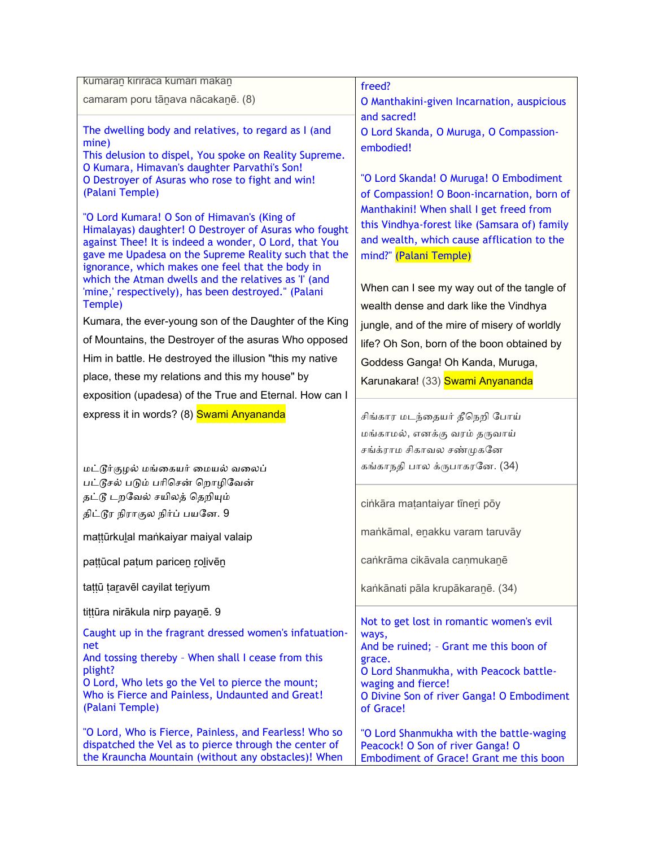| kumaran kiriraca kumari makan                                                                            | freed?                                           |
|----------------------------------------------------------------------------------------------------------|--------------------------------------------------|
| camaram poru tānava nācakanē. (8)                                                                        | O Manthakini-given Incarnation, auspicious       |
|                                                                                                          | and sacred!                                      |
| The dwelling body and relatives, to regard as I (and                                                     | O Lord Skanda, O Muruga, O Compassion-           |
| mine)                                                                                                    | embodied!                                        |
| This delusion to dispel, You spoke on Reality Supreme.<br>O Kumara, Himavan's daughter Parvathi's Son!   |                                                  |
| O Destroyer of Asuras who rose to fight and win!                                                         | "O Lord Skanda! O Muruga! O Embodiment           |
| (Palani Temple)                                                                                          | of Compassion! O Boon-incarnation, born of       |
| "O Lord Kumara! O Son of Himavan's (King of                                                              | Manthakini! When shall I get freed from          |
| Himalayas) daughter! O Destroyer of Asuras who fought                                                    | this Vindhya-forest like (Samsara of) family     |
| against Thee! It is indeed a wonder, O Lord, that You                                                    | and wealth, which cause afflication to the       |
| gave me Upadesa on the Supreme Reality such that the                                                     | mind?" (Palani Temple)                           |
| ignorance, which makes one feel that the body in<br>which the Atman dwells and the relatives as 'I' (and |                                                  |
| 'mine,' respectively), has been destroyed." (Palani                                                      | When can I see my way out of the tangle of       |
| Temple)                                                                                                  | wealth dense and dark like the Vindhya           |
| Kumara, the ever-young son of the Daughter of the King                                                   | jungle, and of the mire of misery of worldly     |
| of Mountains, the Destroyer of the asuras Who opposed                                                    | life? Oh Son, born of the boon obtained by       |
| Him in battle. He destroyed the illusion "this my native                                                 | Goddess Ganga! Oh Kanda, Muruga,                 |
| place, these my relations and this my house" by                                                          | Karunakara! (33) Swami Anyananda                 |
| exposition (upadesa) of the True and Eternal. How can I                                                  |                                                  |
| express it in words? (8) Swami Anyananda                                                                 | சிங்கார மடந்தையர் தீநெறி போய்                    |
|                                                                                                          | மங்காமல், எனக்கு வரம் தருவாய்                    |
|                                                                                                          | சங்க்ராம சிகாவல சண்முகனே                         |
| மட்டூர்குழல் மங்கையர் மையல் வலைப்                                                                        | கங்காநதி பால க்ருபாகரனே. (34)                    |
| பட்டூசல் படும் பரிசென் றொழிவேன்                                                                          |                                                  |
| தட்டூ டறவேல் சயிலத் தெறியும்                                                                             |                                                  |
| திட்டூர நிராகுல நிர்ப் பயனே. 9                                                                           | cinkāra matantaiyar tīneri pōy                   |
|                                                                                                          | mankāmal, enakku varam taruvāy                   |
| mattūrkulal mankaiyar maiyal valaip                                                                      |                                                  |
| pattūcal patum paricen rolivēn                                                                           | cankrāma cikāvala caņmukanē                      |
| tattū taravēl cayilat teriyum                                                                            | kankānati pāla krupākaranē. (34)                 |
|                                                                                                          |                                                  |
| tittūra nirākula nirp payanē. 9                                                                          | Not to get lost in romantic women's evil         |
| Caught up in the fragrant dressed women's infatuation-                                                   | ways,                                            |
| net<br>And tossing thereby - When shall I cease from this                                                | And be ruined; - Grant me this boon of<br>grace. |
| plight?                                                                                                  | O Lord Shanmukha, with Peacock battle-           |
| O Lord, Who lets go the Vel to pierce the mount;                                                         | waging and fierce!                               |
| Who is Fierce and Painless, Undaunted and Great!                                                         | O Divine Son of river Ganga! O Embodiment        |
| (Palani Temple)                                                                                          | of Grace!                                        |
| "O Lord, Who is Fierce, Painless, and Fearless! Who so                                                   | "O Lord Shanmukha with the battle-waging         |
| dispatched the Vel as to pierce through the center of                                                    | Peacock! O Son of river Ganga! O                 |
| the Krauncha Mountain (without any obstacles)! When                                                      | Embodiment of Grace! Grant me this boon          |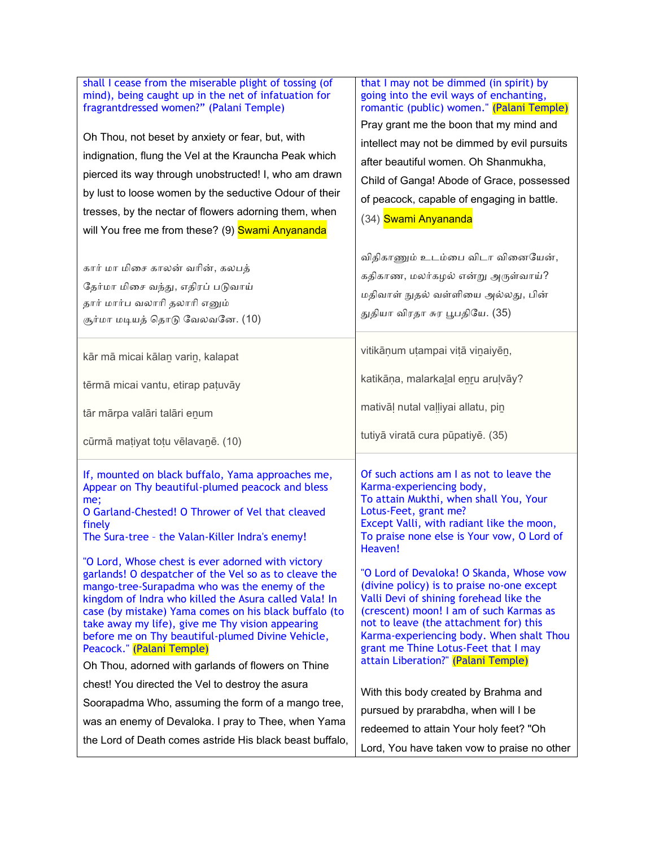| shall I cease from the miserable plight of tossing (of                                                                                                                                                                                                                                                                                                                                                                                                                    | that I may not be dimmed (in spirit) by                                                                                                                                                                                                                                                                                                           |
|---------------------------------------------------------------------------------------------------------------------------------------------------------------------------------------------------------------------------------------------------------------------------------------------------------------------------------------------------------------------------------------------------------------------------------------------------------------------------|---------------------------------------------------------------------------------------------------------------------------------------------------------------------------------------------------------------------------------------------------------------------------------------------------------------------------------------------------|
| mind), being caught up in the net of infatuation for                                                                                                                                                                                                                                                                                                                                                                                                                      | going into the evil ways of enchanting,                                                                                                                                                                                                                                                                                                           |
| fragrantdressed women?" (Palani Temple)                                                                                                                                                                                                                                                                                                                                                                                                                                   | romantic (public) women." (Palani Temple)                                                                                                                                                                                                                                                                                                         |
| Oh Thou, not beset by anxiety or fear, but, with                                                                                                                                                                                                                                                                                                                                                                                                                          | Pray grant me the boon that my mind and                                                                                                                                                                                                                                                                                                           |
| indignation, flung the Vel at the Krauncha Peak which                                                                                                                                                                                                                                                                                                                                                                                                                     | intellect may not be dimmed by evil pursuits                                                                                                                                                                                                                                                                                                      |
| pierced its way through unobstructed! I, who am drawn                                                                                                                                                                                                                                                                                                                                                                                                                     | after beautiful women. Oh Shanmukha,                                                                                                                                                                                                                                                                                                              |
| by lust to loose women by the seductive Odour of their                                                                                                                                                                                                                                                                                                                                                                                                                    | Child of Ganga! Abode of Grace, possessed                                                                                                                                                                                                                                                                                                         |
| tresses, by the nectar of flowers adorning them, when                                                                                                                                                                                                                                                                                                                                                                                                                     | of peacock, capable of engaging in battle.                                                                                                                                                                                                                                                                                                        |
| will You free me from these? (9) Swami Anyananda                                                                                                                                                                                                                                                                                                                                                                                                                          | (34) Swami Anyananda                                                                                                                                                                                                                                                                                                                              |
| கார் மா மிசை காலன் வரின், கலபத்                                                                                                                                                                                                                                                                                                                                                                                                                                           | விதிகாணும் உடம்பை விடா வினையேன்,                                                                                                                                                                                                                                                                                                                  |
| தேர்மா மிசை வந்து, எதிரப் படுவாய்                                                                                                                                                                                                                                                                                                                                                                                                                                         | கதிகாண, மலர்கழல் என்று அருள்வாய்?                                                                                                                                                                                                                                                                                                                 |
| தார் மார்ப வலாரி தலாரி எனும்                                                                                                                                                                                                                                                                                                                                                                                                                                              | மதிவாள் நுதல் வள்ளியை அல்லது, பின்                                                                                                                                                                                                                                                                                                                |
| சூர்மா மடியத் தொடு வேலவனே. (10)                                                                                                                                                                                                                                                                                                                                                                                                                                           | துதியா விரதா சுர பூபதியே. (35)                                                                                                                                                                                                                                                                                                                    |
| kār mā micai kālan varin, kalapat<br>tērmā micai vantu, etirap patuvāy<br>tār mārpa valāri talāri enum                                                                                                                                                                                                                                                                                                                                                                    | vitikāņum utampai vitā viņaiyēn,<br>katikāņa, malarkalal enru arulvāy?<br>mativāļ nutal vaļļiyai allatu, pin<br>tutiyā viratā cura pūpatiyē. (35)                                                                                                                                                                                                 |
| cūrmā matiyat totu vēlavanē. (10)                                                                                                                                                                                                                                                                                                                                                                                                                                         | Of such actions am I as not to leave the                                                                                                                                                                                                                                                                                                          |
| If, mounted on black buffalo, Yama approaches me,                                                                                                                                                                                                                                                                                                                                                                                                                         | Karma-experiencing body,                                                                                                                                                                                                                                                                                                                          |
| Appear on Thy beautiful-plumed peacock and bless                                                                                                                                                                                                                                                                                                                                                                                                                          | To attain Mukthi, when shall You, Your                                                                                                                                                                                                                                                                                                            |
| me;                                                                                                                                                                                                                                                                                                                                                                                                                                                                       | Lotus-Feet, grant me?                                                                                                                                                                                                                                                                                                                             |
| O Garland-Chested! O Thrower of Vel that cleaved                                                                                                                                                                                                                                                                                                                                                                                                                          | Except Valli, with radiant like the moon,                                                                                                                                                                                                                                                                                                         |
| finely                                                                                                                                                                                                                                                                                                                                                                                                                                                                    | To praise none else is Your vow, O Lord of                                                                                                                                                                                                                                                                                                        |
| The Sura-tree - the Valan-Killer Indra's enemy!                                                                                                                                                                                                                                                                                                                                                                                                                           | Heaven!                                                                                                                                                                                                                                                                                                                                           |
| "O Lord, Whose chest is ever adorned with victory<br>garlands! O despatcher of the Vel so as to cleave the<br>mango-tree-Surapadma who was the enemy of the<br>kingdom of Indra who killed the Asura called Vala! In<br>case (by mistake) Yama comes on his black buffalo (to<br>take away my life), give me Thy vision appearing<br>before me on Thy beautiful-plumed Divine Vehicle,<br>Peacock." (Palani Temple)<br>Oh Thou, adorned with garlands of flowers on Thine | "O Lord of Devaloka! O Skanda, Whose vow<br>(divine policy) is to praise no-one except<br>Valli Devi of shining forehead like the<br>(crescent) moon! I am of such Karmas as<br>not to leave (the attachment for) this<br>Karma-experiencing body. When shalt Thou<br>grant me Thine Lotus-Feet that I may<br>attain Liberation?" (Palani Temple) |
| chest! You directed the Vel to destroy the asura                                                                                                                                                                                                                                                                                                                                                                                                                          | With this body created by Brahma and                                                                                                                                                                                                                                                                                                              |
| Soorapadma Who, assuming the form of a mango tree,                                                                                                                                                                                                                                                                                                                                                                                                                        | pursued by prarabdha, when will I be                                                                                                                                                                                                                                                                                                              |
| was an enemy of Devaloka. I pray to Thee, when Yama                                                                                                                                                                                                                                                                                                                                                                                                                       | redeemed to attain Your holy feet? "Oh                                                                                                                                                                                                                                                                                                            |
| the Lord of Death comes astride His black beast buffalo,                                                                                                                                                                                                                                                                                                                                                                                                                  | Lord, You have taken vow to praise no other                                                                                                                                                                                                                                                                                                       |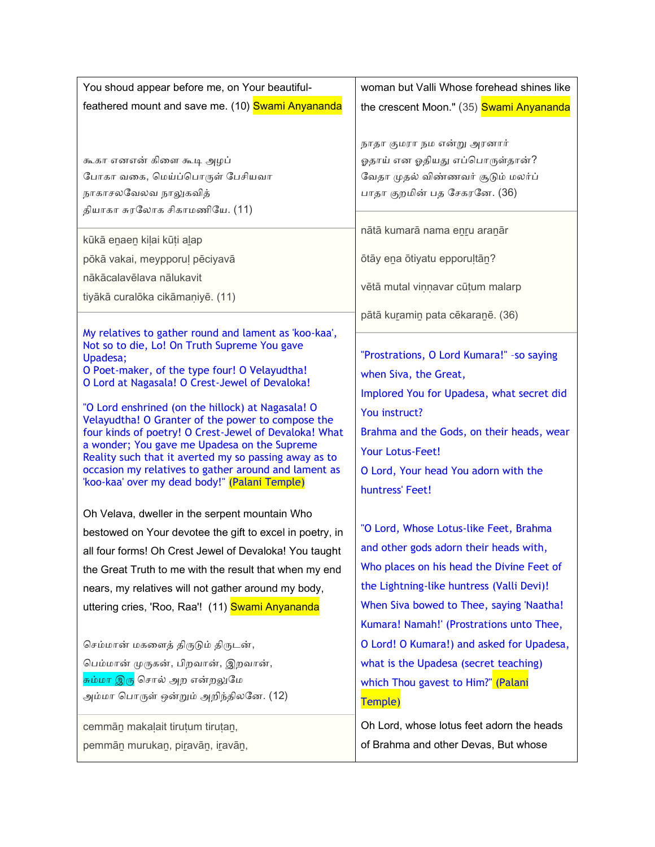| You shoud appear before me, on Your beautiful-                                                                                                                                                                                                                                                                                                                                                                                                                                                                                                                                                            | woman but Valli Whose forehead shines like                                                                                                                                                                                                                    |
|-----------------------------------------------------------------------------------------------------------------------------------------------------------------------------------------------------------------------------------------------------------------------------------------------------------------------------------------------------------------------------------------------------------------------------------------------------------------------------------------------------------------------------------------------------------------------------------------------------------|---------------------------------------------------------------------------------------------------------------------------------------------------------------------------------------------------------------------------------------------------------------|
| feathered mount and save me. (10) Swami Anyananda                                                                                                                                                                                                                                                                                                                                                                                                                                                                                                                                                         | the crescent Moon." (35) Swami Anyananda                                                                                                                                                                                                                      |
| கூகா எனஎன் கிளை கூடி அழப்                                                                                                                                                                                                                                                                                                                                                                                                                                                                                                                                                                                 | நாதா குமரா நம என்று அரனார்                                                                                                                                                                                                                                    |
| போகா வகை, மெய்ப்பொருள் பேசியவா                                                                                                                                                                                                                                                                                                                                                                                                                                                                                                                                                                            | ஓதாய் என ஓதியது எப்பொருள்தான்?                                                                                                                                                                                                                                |
| நாகாசலவேலவ நாலுகவித்                                                                                                                                                                                                                                                                                                                                                                                                                                                                                                                                                                                      | வேதா முதல் விண்ணவர் சூடும் மலர்ப்                                                                                                                                                                                                                             |
| தியாகா சுரலோக சிகாமணியே. (11)                                                                                                                                                                                                                                                                                                                                                                                                                                                                                                                                                                             | பாதா குறமின் பத சேகரனே. (36)                                                                                                                                                                                                                                  |
| kūkā enaen kiļai kūți alap                                                                                                                                                                                                                                                                                                                                                                                                                                                                                                                                                                                | nātā kumarā nama enru aranār                                                                                                                                                                                                                                  |
| pōkā vakai, meypporuļ pēciyavā                                                                                                                                                                                                                                                                                                                                                                                                                                                                                                                                                                            | ōtāy ena ōtiyatu epporuļtān?                                                                                                                                                                                                                                  |
| nākācalavēlava nālukavit                                                                                                                                                                                                                                                                                                                                                                                                                                                                                                                                                                                  | vētā mutal viņņavar cūțum malarp                                                                                                                                                                                                                              |
| tiyākā curalōka cikāmaniyē. (11)                                                                                                                                                                                                                                                                                                                                                                                                                                                                                                                                                                          | pātā kuramin pata cēkaranē. (36)                                                                                                                                                                                                                              |
| My relatives to gather round and lament as 'koo-kaa',<br>Not so to die, Lo! On Truth Supreme You gave<br>Upadesa;<br>O Poet-maker, of the type four! O Velayudtha!<br>O Lord at Nagasala! O Crest-Jewel of Devaloka!<br>"O Lord enshrined (on the hillock) at Nagasala! O<br>Velayudtha! O Granter of the power to compose the<br>four kinds of poetry! O Crest-Jewel of Devaloka! What<br>a wonder; You gave me Upadesa on the Supreme<br>Reality such that it averted my so passing away as to<br>occasion my relatives to gather around and lament as<br>'koo-kaa' over my dead body!" (Palani Temple) | "Prostrations, O Lord Kumara!" - so saying<br>when Siva, the Great,<br>Implored You for Upadesa, what secret did<br>You instruct?<br>Brahma and the Gods, on their heads, wear<br>Your Lotus-Feet!<br>O Lord, Your head You adorn with the<br>huntress' Feet! |
| Oh Velava, dweller in the serpent mountain Who                                                                                                                                                                                                                                                                                                                                                                                                                                                                                                                                                            | "O Lord, Whose Lotus-like Feet, Brahma                                                                                                                                                                                                                        |
| bestowed on Your devotee the gift to excel in poetry, in                                                                                                                                                                                                                                                                                                                                                                                                                                                                                                                                                  | and other gods adorn their heads with,                                                                                                                                                                                                                        |
| all four forms! Oh Crest Jewel of Devaloka! You taught                                                                                                                                                                                                                                                                                                                                                                                                                                                                                                                                                    | Who places on his head the Divine Feet of                                                                                                                                                                                                                     |
| the Great Truth to me with the result that when my end                                                                                                                                                                                                                                                                                                                                                                                                                                                                                                                                                    | the Lightning-like huntress (Valli Devi)!                                                                                                                                                                                                                     |
| nears, my relatives will not gather around my body,                                                                                                                                                                                                                                                                                                                                                                                                                                                                                                                                                       | When Siva bowed to Thee, saying 'Naatha!                                                                                                                                                                                                                      |
| uttering cries, 'Roo, Raa'! (11) Swami Anyananda                                                                                                                                                                                                                                                                                                                                                                                                                                                                                                                                                          | Kumara! Namah!' (Prostrations unto Thee,                                                                                                                                                                                                                      |
| செம்மான் மகளைத் திருடும் திருடன்,                                                                                                                                                                                                                                                                                                                                                                                                                                                                                                                                                                         | O Lord! O Kumara!) and asked for Upadesa,                                                                                                                                                                                                                     |
| பெம்மான் முருகன், பிறவான், இறவான்,                                                                                                                                                                                                                                                                                                                                                                                                                                                                                                                                                                        | what is the Upadesa (secret teaching)                                                                                                                                                                                                                         |
| <mark>சும்மா இரு</mark> சொல் அற என்றலுமே                                                                                                                                                                                                                                                                                                                                                                                                                                                                                                                                                                  | which Thou gavest to Him?" (Palani                                                                                                                                                                                                                            |
| அம்மா பொருள் ஒன்றும் அறிந்திலனே. (12)                                                                                                                                                                                                                                                                                                                                                                                                                                                                                                                                                                     | Temple)                                                                                                                                                                                                                                                       |
| cemmān makaļait tirutum tirutan,                                                                                                                                                                                                                                                                                                                                                                                                                                                                                                                                                                          | Oh Lord, whose lotus feet adorn the heads                                                                                                                                                                                                                     |
| pemmān murukan, piravān, iravān,                                                                                                                                                                                                                                                                                                                                                                                                                                                                                                                                                                          | of Brahma and other Devas, But whose                                                                                                                                                                                                                          |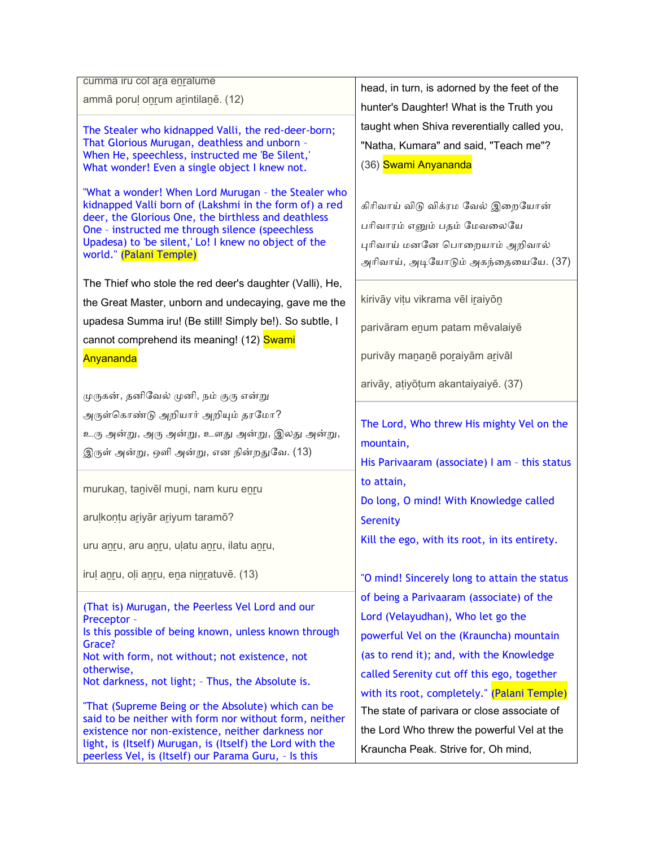| cumma iru col ara enralume                                                                                                                                                                                                                                                                                 |                                                                                                                                           |
|------------------------------------------------------------------------------------------------------------------------------------------------------------------------------------------------------------------------------------------------------------------------------------------------------------|-------------------------------------------------------------------------------------------------------------------------------------------|
| ammā poruļ onrum arintilanē. (12)                                                                                                                                                                                                                                                                          | head, in turn, is adorned by the feet of the<br>hunter's Daughter! What is the Truth you                                                  |
| The Stealer who kidnapped Valli, the red-deer-born;<br>That Glorious Murugan, deathless and unborn -<br>When He, speechless, instructed me 'Be Silent,'<br>What wonder! Even a single object I knew not.                                                                                                   | taught when Shiva reverentially called you,<br>"Natha, Kumara" and said, "Teach me"?<br>(36) Swami Anyananda                              |
| "What a wonder! When Lord Murugan - the Stealer who<br>kidnapped Valli born of (Lakshmi in the form of) a red<br>deer, the Glorious One, the birthless and deathless<br>One - instructed me through silence (speechless<br>Upadesa) to 'be silent,' Lo! I knew no object of the<br>world." (Palani Temple) | கிரிவாய் விடு விக்ரம வேல் இறையோன்<br>பரிவாரம் எனும் பதம் மேவலையே<br>புரிவாய் மனனே பொறையாம் அறிவால்<br>அரிவாய், அடியோடும் அகந்தையையே. (37) |
| The Thief who stole the red deer's daughter (Valli), He,                                                                                                                                                                                                                                                   | kirivāy vițu vikrama vēl iraiyon                                                                                                          |
| the Great Master, unborn and undecaying, gave me the                                                                                                                                                                                                                                                       |                                                                                                                                           |
| upadesa Summa iru! (Be still! Simply be!). So subtle, I<br>cannot comprehend its meaning! (12) Swami                                                                                                                                                                                                       | parivāram enum patam mēvalaiyē                                                                                                            |
| Anyananda                                                                                                                                                                                                                                                                                                  | purivāy mananē poraiyām arivāl                                                                                                            |
| முருகன், தனிவேல் முனி, நம் குரு என்று                                                                                                                                                                                                                                                                      | arivāy, atiyōțum akantaiyaiyē. (37)                                                                                                       |
| அருள்கொண்டு அறியார் அறியும் தரமோ?                                                                                                                                                                                                                                                                          |                                                                                                                                           |
| உரு அன்று, அரு அன்று, உளது அன்று, இலது அன்று,                                                                                                                                                                                                                                                              | The Lord, Who threw His mighty Vel on the                                                                                                 |
| இருள் அன்று, ஒளி அன்று, என நின்றதுவே. (13)                                                                                                                                                                                                                                                                 | mountain,                                                                                                                                 |
|                                                                                                                                                                                                                                                                                                            | His Parivaaram (associate) I am - this status                                                                                             |
| murukan, tanivēl muni, nam kuru enru                                                                                                                                                                                                                                                                       | to attain,<br>Do long, O mind! With Knowledge called                                                                                      |
| aruļkoņțu ariyār ariyum taramō?                                                                                                                                                                                                                                                                            | <b>Serenity</b>                                                                                                                           |
| uru anru, aru anru, ulatu anru, ilatu anru,                                                                                                                                                                                                                                                                | Kill the ego, with its root, in its entirety.                                                                                             |
| irul anru, oli anru, ena ninratuvē. (13)                                                                                                                                                                                                                                                                   | "O mind! Sincerely long to attain the status                                                                                              |
| (That is) Murugan, the Peerless Vel Lord and our<br>Preceptor -<br>Is this possible of being known, unless known through                                                                                                                                                                                   | of being a Parivaaram (associate) of the<br>Lord (Velayudhan), Who let go the<br>powerful Vel on the (Krauncha) mountain                  |
| Grace?                                                                                                                                                                                                                                                                                                     | (as to rend it); and, with the Knowledge                                                                                                  |
| Not with form, not without; not existence, not<br>otherwise,                                                                                                                                                                                                                                               | called Serenity cut off this ego, together                                                                                                |
| Not darkness, not light; - Thus, the Absolute is.                                                                                                                                                                                                                                                          |                                                                                                                                           |
| "That (Supreme Being or the Absolute) which can be                                                                                                                                                                                                                                                         | with its root, completely." (Palani Temple)<br>The state of parivara or close associate of                                                |
| said to be neither with form nor without form, neither                                                                                                                                                                                                                                                     | the Lord Who threw the powerful Vel at the                                                                                                |
| existence nor non-existence, neither darkness nor<br>light, is (Itself) Murugan, is (Itself) the Lord with the                                                                                                                                                                                             |                                                                                                                                           |
| peerless Vel, is (Itself) our Parama Guru, - Is this                                                                                                                                                                                                                                                       | Krauncha Peak. Strive for, Oh mind,                                                                                                       |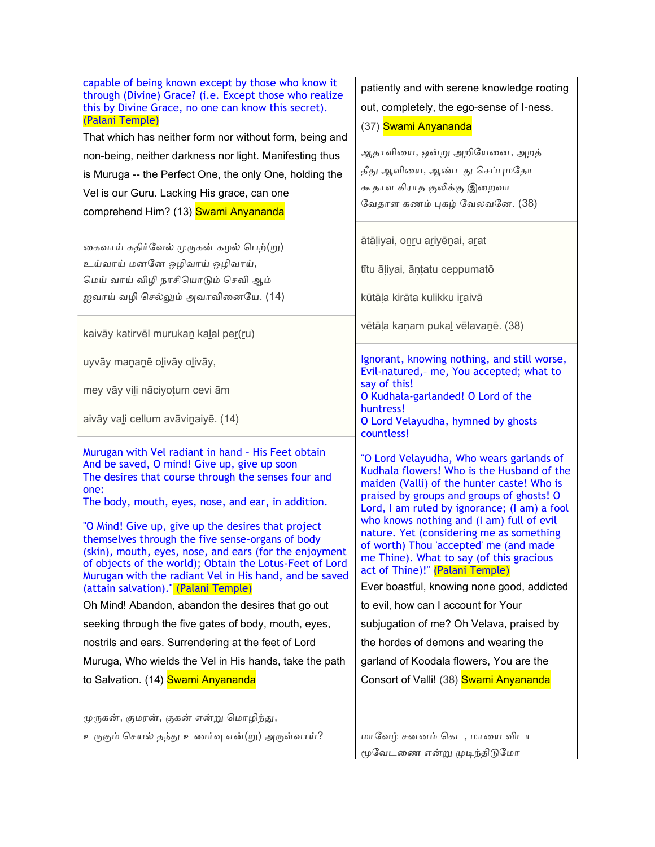| capable of being known except by those who know it                                                         | patiently and with serene knowledge rooting                                              |
|------------------------------------------------------------------------------------------------------------|------------------------------------------------------------------------------------------|
| through (Divine) Grace? (i.e. Except those who realize                                                     | out, completely, the ego-sense of I-ness.                                                |
| this by Divine Grace, no one can know this secret).<br>(Palani Temple)                                     |                                                                                          |
| That which has neither form nor without form, being and                                                    | (37) Swami Anyananda                                                                     |
| non-being, neither darkness nor light. Manifesting thus                                                    | ஆதாளியை, ஒன்று அறியேனை, அறத்                                                             |
| is Muruga -- the Perfect One, the only One, holding the                                                    | தீது ஆளியை, ஆண்டது செப்புமதோ                                                             |
| Vel is our Guru. Lacking His grace, can one                                                                | கூதாள கிராத குலிக்கு இறைவா                                                               |
| comprehend Him? (13) Swami Anyananda                                                                       | வேதாள கணம் புகழ் வேலவனே. (38)                                                            |
|                                                                                                            |                                                                                          |
| கைவாய் கதிர்வேல் முருகன் கழல் பெற்(று)                                                                     | ātāļiyai, onru ariyēnai, arat                                                            |
| உய்வாய் மனனே ஒழிவாய் ஒழிவாய்,                                                                              | tītu āļiyai, āņtatu ceppumatō                                                            |
| மெய் வாய் விழி நாசியொடும் செவி ஆம்                                                                         |                                                                                          |
| ஐவாய் வழி செல்லும் அவாவினையே. (14)                                                                         | kūtāla kirāta kulikku iraivā                                                             |
|                                                                                                            |                                                                                          |
| kaivāy katirvēl murukan kalal per(ru)                                                                      | vētāļa kaņam pukal vēlavanē. (38)                                                        |
|                                                                                                            | Ignorant, knowing nothing, and still worse,                                              |
| uyvāy mananē olivāy olivāy,                                                                                | Evil-natured, - me, You accepted; what to                                                |
| mey vāy vili nāciyoțum cevi ām                                                                             | say of this!                                                                             |
|                                                                                                            | O Kudhala-garlanded! O Lord of the<br>huntress!                                          |
| aivāy vali cellum avāvinaiyē. (14)                                                                         | O Lord Velayudha, hymned by ghosts                                                       |
|                                                                                                            | countless!                                                                               |
| Murugan with Vel radiant in hand - His Feet obtain<br>And be saved, O mind! Give up, give up soon          | "O Lord Velayudha, Who wears garlands of                                                 |
| The desires that course through the senses four and                                                        | Kudhala flowers! Who is the Husband of the<br>maiden (Valli) of the hunter caste! Who is |
| one:                                                                                                       | praised by groups and groups of ghosts! O                                                |
| The body, mouth, eyes, nose, and ear, in addition.                                                         | Lord, I am ruled by ignorance; (I am) a fool                                             |
| "O Mind! Give up, give up the desires that project                                                         | who knows nothing and (I am) full of evil<br>nature. Yet (considering me as something    |
| themselves through the five sense-organs of body<br>(skin), mouth, eyes, nose, and ears (for the enjoyment | of worth) Thou 'accepted' me (and made                                                   |
| of objects of the world); Obtain the Lotus-Feet of Lord                                                    | me Thine). What to say (of this gracious<br>act of Thine)!" (Palani Temple)              |
| Murugan with the radiant Vel in His hand, and be saved<br>(attain salvation)." (Palani Temple)             | Ever boastful, knowing none good, addicted                                               |
| Oh Mind! Abandon, abandon the desires that go out                                                          | to evil, how can I account for Your                                                      |
| seeking through the five gates of body, mouth, eyes,                                                       | subjugation of me? Oh Velava, praised by                                                 |
| nostrils and ears. Surrendering at the feet of Lord                                                        | the hordes of demons and wearing the                                                     |
| Muruga, Who wields the Vel in His hands, take the path                                                     | garland of Koodala flowers, You are the                                                  |
| to Salvation. (14) Swami Anyananda                                                                         | Consort of Valli! (38) Swami Anyananda                                                   |
|                                                                                                            |                                                                                          |
|                                                                                                            |                                                                                          |
| முருகன், குமரன், குகன் என்று மொழிந்து,                                                                     |                                                                                          |
| உருகும் செயல் தந்து உணர்வு என்(று) அருள்வாய்?                                                              | மாவேழ் சனனம் கெட, மாயை விடா<br>மூவேடணை என்று முடிந்திடுமோ                                |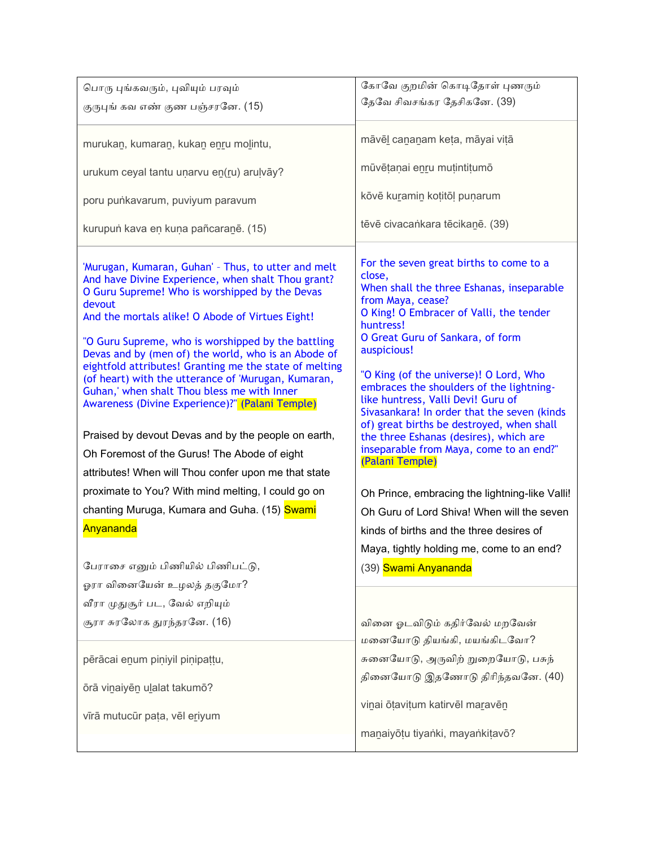| பொரு புங்கவரும், புவியும் பரவும்                                                                                                                                                                                                                                                                                                                                                                                                                                                                                                                                                                                                                                 | கோவே குறமின் கொடிதோள் புணரும்                                                                                                                                                                                                                                                                                                                                                                                                                                                                                                               |
|------------------------------------------------------------------------------------------------------------------------------------------------------------------------------------------------------------------------------------------------------------------------------------------------------------------------------------------------------------------------------------------------------------------------------------------------------------------------------------------------------------------------------------------------------------------------------------------------------------------------------------------------------------------|---------------------------------------------------------------------------------------------------------------------------------------------------------------------------------------------------------------------------------------------------------------------------------------------------------------------------------------------------------------------------------------------------------------------------------------------------------------------------------------------------------------------------------------------|
| குருபுங் கவ எண் குண பஞ்சரனே. (15)                                                                                                                                                                                                                                                                                                                                                                                                                                                                                                                                                                                                                                | தேவே சிவசங்கர தேசிகனே. (39)                                                                                                                                                                                                                                                                                                                                                                                                                                                                                                                 |
|                                                                                                                                                                                                                                                                                                                                                                                                                                                                                                                                                                                                                                                                  |                                                                                                                                                                                                                                                                                                                                                                                                                                                                                                                                             |
| murukan, kumaran, kukan enru molintu,                                                                                                                                                                                                                                                                                                                                                                                                                                                                                                                                                                                                                            | māvēl cananam keta, māyai vitā                                                                                                                                                                                                                                                                                                                                                                                                                                                                                                              |
| urukum ceyal tantu unarvu en(ru) arulvāy?                                                                                                                                                                                                                                                                                                                                                                                                                                                                                                                                                                                                                        | mūvētaņai enru mutintitumō                                                                                                                                                                                                                                                                                                                                                                                                                                                                                                                  |
| poru punkavarum, puviyum paravum                                                                                                                                                                                                                                                                                                                                                                                                                                                                                                                                                                                                                                 | kōvē kuramin kotitōļ puņarum                                                                                                                                                                                                                                                                                                                                                                                                                                                                                                                |
| kurupun kava en kuna pañcaranē. (15)                                                                                                                                                                                                                                                                                                                                                                                                                                                                                                                                                                                                                             | tēvē civacankara tēcikanē. (39)                                                                                                                                                                                                                                                                                                                                                                                                                                                                                                             |
| 'Murugan, Kumaran, Guhan' - Thus, to utter and melt<br>And have Divine Experience, when shalt Thou grant?<br>O Guru Supreme! Who is worshipped by the Devas<br>devout<br>And the mortals alike! O Abode of Virtues Eight!<br>"O Guru Supreme, who is worshipped by the battling<br>Devas and by (men of) the world, who is an Abode of<br>eightfold attributes! Granting me the state of melting<br>(of heart) with the utterance of 'Murugan, Kumaran,<br>Guhan,' when shalt Thou bless me with Inner<br>Awareness (Divine Experience)?" (Palani Temple)<br>Praised by devout Devas and by the people on earth,<br>Oh Foremost of the Gurus! The Abode of eight | For the seven great births to come to a<br>close,<br>When shall the three Eshanas, inseparable<br>from Maya, cease?<br>O King! O Embracer of Valli, the tender<br>huntress!<br>O Great Guru of Sankara, of form<br>auspicious!<br>"O King (of the universe)! O Lord, Who<br>embraces the shoulders of the lightning-<br>like huntress, Valli Devi! Guru of<br>Sivasankara! In order that the seven (kinds<br>of) great births be destroyed, when shall<br>the three Eshanas (desires), which are<br>inseparable from Maya, come to an end?" |
| attributes! When will Thou confer upon me that state                                                                                                                                                                                                                                                                                                                                                                                                                                                                                                                                                                                                             | (Palani Temple)                                                                                                                                                                                                                                                                                                                                                                                                                                                                                                                             |
| proximate to You? With mind melting, I could go on                                                                                                                                                                                                                                                                                                                                                                                                                                                                                                                                                                                                               | Oh Prince, embracing the lightning-like Valli!                                                                                                                                                                                                                                                                                                                                                                                                                                                                                              |
| chanting Muruga, Kumara and Guha. (15) Swami                                                                                                                                                                                                                                                                                                                                                                                                                                                                                                                                                                                                                     | Oh Guru of Lord Shiva! When will the seven                                                                                                                                                                                                                                                                                                                                                                                                                                                                                                  |
| Anyananda                                                                                                                                                                                                                                                                                                                                                                                                                                                                                                                                                                                                                                                        | kinds of births and the three desires of                                                                                                                                                                                                                                                                                                                                                                                                                                                                                                    |
|                                                                                                                                                                                                                                                                                                                                                                                                                                                                                                                                                                                                                                                                  | Maya, tightly holding me, come to an end?                                                                                                                                                                                                                                                                                                                                                                                                                                                                                                   |
| பேராசை எனும் பிணியில் பிணிபட்டு,                                                                                                                                                                                                                                                                                                                                                                                                                                                                                                                                                                                                                                 | (39) Swami Anyananda                                                                                                                                                                                                                                                                                                                                                                                                                                                                                                                        |
| ஓரா வினையேன் உழலத் தகுமோ?                                                                                                                                                                                                                                                                                                                                                                                                                                                                                                                                                                                                                                        |                                                                                                                                                                                                                                                                                                                                                                                                                                                                                                                                             |
| வீரா முதுசூர் பட, வேல் எறியும்                                                                                                                                                                                                                                                                                                                                                                                                                                                                                                                                                                                                                                   |                                                                                                                                                                                                                                                                                                                                                                                                                                                                                                                                             |
| சூரா சுரலோக துரந்தரனே. (16)                                                                                                                                                                                                                                                                                                                                                                                                                                                                                                                                                                                                                                      | வினை ஓடவிடும் கதிர்வேல் மறவேன்                                                                                                                                                                                                                                                                                                                                                                                                                                                                                                              |
|                                                                                                                                                                                                                                                                                                                                                                                                                                                                                                                                                                                                                                                                  | மனையோடு தியங்கி, மயங்கிடவோ?                                                                                                                                                                                                                                                                                                                                                                                                                                                                                                                 |
| pērācai enum piņiyil piņipattu,                                                                                                                                                                                                                                                                                                                                                                                                                                                                                                                                                                                                                                  | சுனையோடு, அருவிற் றுறையோடு, பசுந்                                                                                                                                                                                                                                                                                                                                                                                                                                                                                                           |
| ōrā viņaiyēn ulalat takumō?                                                                                                                                                                                                                                                                                                                                                                                                                                                                                                                                                                                                                                      | தினையோடு இதணோடு திரிந்தவனே. (40)                                                                                                                                                                                                                                                                                                                                                                                                                                                                                                            |
|                                                                                                                                                                                                                                                                                                                                                                                                                                                                                                                                                                                                                                                                  | vinai ōțavițum katirvēl maravēn                                                                                                                                                                                                                                                                                                                                                                                                                                                                                                             |
| vīrā mutucūr pata, vēl eriyum                                                                                                                                                                                                                                                                                                                                                                                                                                                                                                                                                                                                                                    |                                                                                                                                                                                                                                                                                                                                                                                                                                                                                                                                             |
|                                                                                                                                                                                                                                                                                                                                                                                                                                                                                                                                                                                                                                                                  | manaiyōțu tiyanki, mayankițavō?                                                                                                                                                                                                                                                                                                                                                                                                                                                                                                             |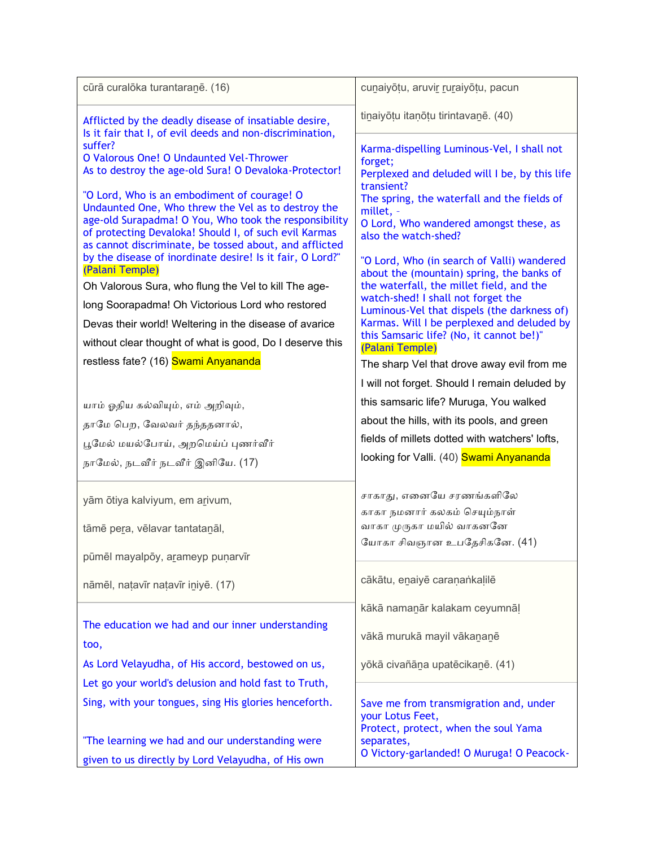| cūrā curalōka turantaranē. (16)                                                                                     | cunaiyōtu, aruvir ruraiyōtu, pacun                                                                 |
|---------------------------------------------------------------------------------------------------------------------|----------------------------------------------------------------------------------------------------|
| Afflicted by the deadly disease of insatiable desire,<br>Is it fair that I, of evil deeds and non-discrimination,   | tinaiyōțu itanōțu tirintavanē. (40)                                                                |
| suffer?                                                                                                             | Karma-dispelling Luminous-Vel, I shall not                                                         |
| O Valorous One! O Undaunted Vel-Thrower<br>As to destroy the age-old Sura! O Devaloka-Protector!                    | forget;<br>Perplexed and deluded will I be, by this life                                           |
| "O Lord, Who is an embodiment of courage! O                                                                         | transient?<br>The spring, the waterfall and the fields of                                          |
| Undaunted One, Who threw the Vel as to destroy the<br>age-old Surapadma! O You, Who took the responsibility         | millet, -                                                                                          |
| of protecting Devaloka! Should I, of such evil Karmas                                                               | O Lord, Who wandered amongst these, as<br>also the watch-shed?                                     |
| as cannot discriminate, be tossed about, and afflicted<br>by the disease of inordinate desire! Is it fair, O Lord?" | "O Lord, Who (in search of Valli) wandered                                                         |
| (Palani Temple)                                                                                                     | about the (mountain) spring, the banks of<br>the waterfall, the millet field, and the              |
| Oh Valorous Sura, who flung the Vel to kill The age-<br>long Soorapadma! Oh Victorious Lord who restored            | watch-shed! I shall not forget the                                                                 |
| Devas their world! Weltering in the disease of avarice                                                              | Luminous-Vel that dispels (the darkness of)<br>Karmas. Will I be perplexed and deluded by          |
| without clear thought of what is good, Do I deserve this                                                            | this Samsaric life? (No, it cannot be!)"<br>(Palani Temple)                                        |
| restless fate? (16) Swami Anyananda                                                                                 | The sharp Vel that drove away evil from me                                                         |
|                                                                                                                     | I will not forget. Should I remain deluded by                                                      |
| யாம் ஓதிய கல்வியும், எம் அறிவும்,                                                                                   | this samsaric life? Muruga, You walked                                                             |
| தாமே பெற, வேலவர் தந்ததனால்,                                                                                         | about the hills, with its pools, and green                                                         |
| பூமேல் மயல்போய், அறமெய்ப் புணர்வீர்                                                                                 | fields of millets dotted with watchers' lofts,                                                     |
| நாமேல், நடவீர் நடவீர் இனியே. (17)                                                                                   | looking for Valli. (40) Swami Anyananda                                                            |
| yām ōtiya kalviyum, em arivum,                                                                                      | சாகாது, எனையே சரணங்களிலே                                                                           |
|                                                                                                                     | காகா நமனார் கலகம் செயும்நாள்                                                                       |
| tāmē pera, vēlavar tantatanāl,                                                                                      | வாகா முருகா மயில் வாகனனே                                                                           |
| pūmēl mayalpōy, arameyp punarvīr                                                                                    | யோகா சிவஞான உபதேசிகனே. (41)                                                                        |
|                                                                                                                     | cākātu, enaiyē caranankalilē                                                                       |
| nāmēl, natavīr natavīr iniyē. (17)                                                                                  |                                                                                                    |
|                                                                                                                     | kākā namanār kalakam ceyumnāl                                                                      |
| The education we had and our inner understanding<br>too,                                                            | vākā murukā mayil vākananē                                                                         |
| As Lord Velayudha, of His accord, bestowed on us,                                                                   | yōkā civañāna upatēcikanē. (41)                                                                    |
| Let go your world's delusion and hold fast to Truth,                                                                |                                                                                                    |
| Sing, with your tongues, sing His glories henceforth.                                                               | Save me from transmigration and, under<br>your Lotus Feet,<br>Protect, protect, when the soul Yama |
| "The learning we had and our understanding were                                                                     | separates,                                                                                         |
| given to us directly by Lord Velayudha, of His own                                                                  | O Victory-garlanded! O Muruga! O Peacock-                                                          |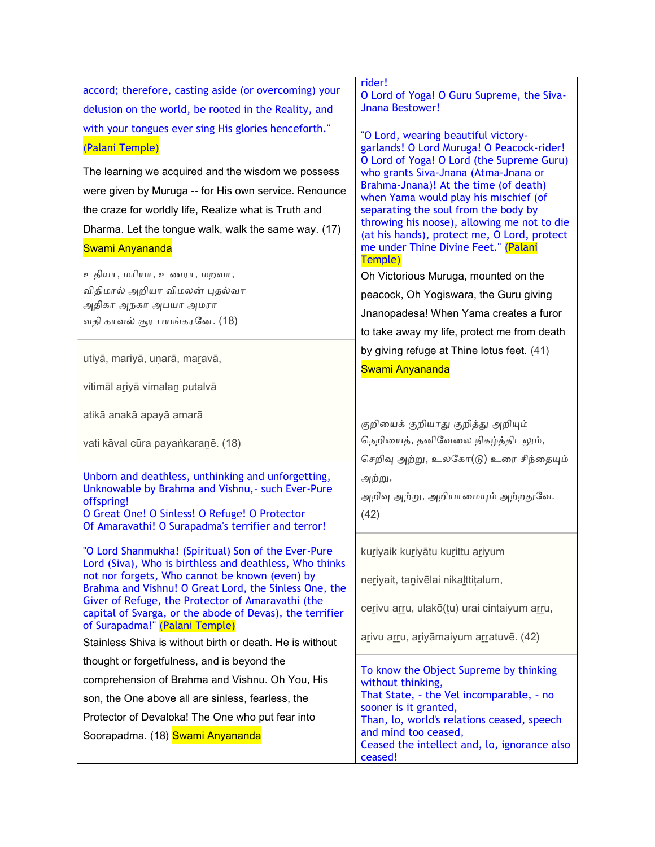| accord; therefore, casting aside (or overcoming) your<br>delusion on the world, be rooted in the Reality, and                                                                                                                                   | rider!<br>O Lord of Yoga! O Guru Supreme, the Siva-<br>Jnana Bestower!                                                                                                                                                                                                                                          |
|-------------------------------------------------------------------------------------------------------------------------------------------------------------------------------------------------------------------------------------------------|-----------------------------------------------------------------------------------------------------------------------------------------------------------------------------------------------------------------------------------------------------------------------------------------------------------------|
| with your tongues ever sing His glories henceforth."<br>(Palani Temple)                                                                                                                                                                         | "O Lord, wearing beautiful victory-<br>garlands! O Lord Muruga! O Peacock-rider!<br>O Lord of Yoga! O Lord (the Supreme Guru)                                                                                                                                                                                   |
| The learning we acquired and the wisdom we possess<br>were given by Muruga -- for His own service. Renounce<br>the craze for worldly life, Realize what is Truth and<br>Dharma. Let the tongue walk, walk the same way. (17)<br>Swami Anyananda | who grants Siva-Jnana (Atma-Jnana or<br>Brahma-Jnana)! At the time (of death)<br>when Yama would play his mischief (of<br>separating the soul from the body by<br>throwing his noose), allowing me not to die<br>(at his hands), protect me, O Lord, protect<br>me under Thine Divine Feet." (Palani<br>Temple) |
| உதியா, மரியா, உணரா, மறவா,                                                                                                                                                                                                                       | Oh Victorious Muruga, mounted on the                                                                                                                                                                                                                                                                            |
| விதிமால் அறியா விமலன் புதல்வா<br>அதிகா அநகா அபயா அமரா                                                                                                                                                                                           | peacock, Oh Yogiswara, the Guru giving                                                                                                                                                                                                                                                                          |
| வதி காவல் சூர பயங்கரனே. (18)                                                                                                                                                                                                                    | Jnanopadesa! When Yama creates a furor                                                                                                                                                                                                                                                                          |
|                                                                                                                                                                                                                                                 | to take away my life, protect me from death                                                                                                                                                                                                                                                                     |
| utiyā, mariyā, uņarā, maravā,                                                                                                                                                                                                                   | by giving refuge at Thine lotus feet. (41)<br>Swami Anyananda                                                                                                                                                                                                                                                   |
| vitimāl ariyā vimalan putalvā                                                                                                                                                                                                                   |                                                                                                                                                                                                                                                                                                                 |
| atikā anakā apayā amarā                                                                                                                                                                                                                         | குறியைக் குறியாது குறித்து அறியும்                                                                                                                                                                                                                                                                              |
| vati kāval cūra payankaranē. (18)                                                                                                                                                                                                               | நெறியைத், தனிவேலை நிகழ்த்திடலும்,                                                                                                                                                                                                                                                                               |
|                                                                                                                                                                                                                                                 | செறிவு அற்று, உலகோ(டு) உரை சிந்தையும்                                                                                                                                                                                                                                                                           |
| Unborn and deathless, unthinking and unforgetting,                                                                                                                                                                                              | அற்று,                                                                                                                                                                                                                                                                                                          |
| Unknowable by Brahma and Vishnu, - such Ever-Pure<br>offspring!                                                                                                                                                                                 | அறிவு அற்று, அறியாமையும் அற்றதுவே.                                                                                                                                                                                                                                                                              |
| O Great One! O Sinless! O Refuge! O Protector<br>Of Amaravathi! O Surapadma's terrifier and terror!                                                                                                                                             | (42)                                                                                                                                                                                                                                                                                                            |
| "O Lord Shanmukha! (Spiritual) Son of the Ever-Pure<br>Lord (Siva), Who is birthless and deathless, Who thinks                                                                                                                                  | kuriyaik kuriyātu kurittu ariyum                                                                                                                                                                                                                                                                                |
| not nor forgets, Who cannot be known (even) by<br>Brahma and Vishnu! O Great Lord, the Sinless One, the                                                                                                                                         | neriyait, tanivēlai nikalttitalum,                                                                                                                                                                                                                                                                              |
| Giver of Refuge, the Protector of Amaravathi (the<br>capital of Svarga, or the abode of Devas), the terrifier<br>of Surapadma!" (Palani Temple)                                                                                                 | cerivu arru, ulakō(tu) urai cintaiyum arru,                                                                                                                                                                                                                                                                     |
| Stainless Shiva is without birth or death. He is without                                                                                                                                                                                        | arivu arru, ariyāmaiyum arratuvē. (42)                                                                                                                                                                                                                                                                          |
| thought or forgetfulness, and is beyond the                                                                                                                                                                                                     |                                                                                                                                                                                                                                                                                                                 |
| comprehension of Brahma and Vishnu. Oh You, His                                                                                                                                                                                                 | To know the Object Supreme by thinking<br>without thinking,                                                                                                                                                                                                                                                     |
| son, the One above all are sinless, fearless, the                                                                                                                                                                                               | That State, - the Vel incomparable, - no                                                                                                                                                                                                                                                                        |
| Protector of Devaloka! The One who put fear into                                                                                                                                                                                                | sooner is it granted,<br>Than, lo, world's relations ceased, speech                                                                                                                                                                                                                                             |
| Soorapadma. (18) Swami Anyananda                                                                                                                                                                                                                | and mind too ceased,                                                                                                                                                                                                                                                                                            |
|                                                                                                                                                                                                                                                 | Ceased the intellect and, lo, ignorance also<br>ceased!                                                                                                                                                                                                                                                         |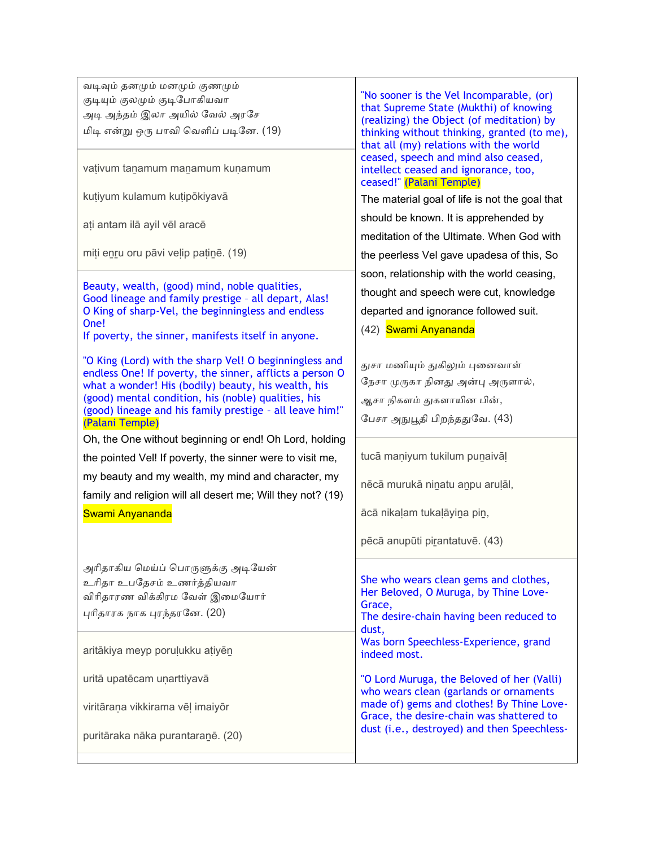ேடிவும் தனமும் மனமும் குணமும் குடியும் குலமும் குடிபோகியவா அடி அந்தம் இலா அயில் வேல் அரசே மிடி என்று ஒரு பாேி நேைிப் படிசன. (19)

vativum tanamum manamum kunamum

kutiyum kulamum kutipōkiyayā

aṭi antam ilā ayil vēl aracē

miṭi eṉṟu oru pāvi veḷip paṭiṉē. (19)

Beauty, wealth, (good) mind, noble qualities, Good lineage and family prestige – all depart, Alas! O King of sharp-Vel, the beginningless and endless One!

If poverty, the sinner, manifests itself in anyone.

"O King (Lord) with the sharp Vel! O beginningless and endless One! If poverty, the sinner, afflicts a person O what a wonder! His (bodily) beauty, his wealth, his (good) mental condition, his (noble) qualities, his (good) lineage and his family prestige – all leave him!" (Palani Temple)

Oh, the One without beginning or end! Oh Lord, holding the pointed Vel! If poverty, the sinner were to visit me, my beauty and my wealth, my mind and character, my

family and religion will all desert me; Will they not? (19)

## Swami Anyananda

அாிதாகிய நமய்ப் நபாருளுக்கு அடிசயன் உரிதா உபதேசம் உணர்த்தியவா விரிகாரண விக்கிரம வேள் இமையோர் புாிதாரக ொக புரந்தரசன. (20)

aritākiya meyp porulukku atiyēn

uritā upatēcam unarttiyavā

viritāraṇa vikkirama vēḷ imaiyōr

puritāraka nāka purantaraṉē. (20)

"No sooner is the Vel Incomparable, (or) that Supreme State (Mukthi) of knowing (realizing) the Object (of meditation) by thinking without thinking, granted (to me), that all (my) relations with the world ceased, speech and mind also ceased, intellect ceased and ignorance, too, ceased!" (Palani Temple)

The material goal of life is not the goal that should be known. It is apprehended by meditation of the Ultimate. When God with the peerless Vel gave upadesa of this, So soon, relationship with the world ceasing, thought and speech were cut, knowledge departed and ignorance followed suit.

(42) Swami Anyananda

துசா மணியும் துகிலும் புனனோள் நேசா முருகா நினது அன்பு அருளால், ஆசா ெிகைம் துகைாயின பின், சபசா அநுபூதி பிறந்ததுசே. (43)

tucā maniyum tukilum punaivāl

nēcā murukā niṉatu aṉpu aruḷāl,

ācā nikaḷam tukaḷāyiṉa piṉ,

pēcā anupūti pirantatuvē. (43)

She who wears clean gems and clothes, Her Beloved, O Muruga, by Thine Love-Grace,

The desire-chain having been reduced to dust,

Was born Speechless-Experience, grand indeed most.

"O Lord Muruga, the Beloved of her (Valli) who wears clean (garlands or ornaments made of) gems and clothes! By Thine Love-Grace, the desire-chain was shattered to dust (i.e., destroyed) and then Speechless-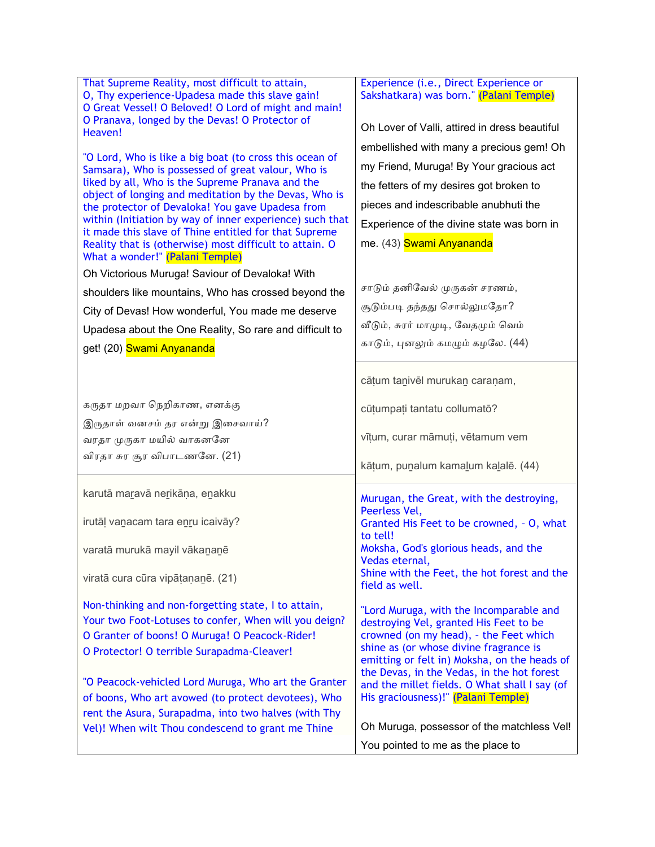| That Supreme Reality, most difficult to attain,                                                              | Experience (i.e., Direct Experience or                                                 |
|--------------------------------------------------------------------------------------------------------------|----------------------------------------------------------------------------------------|
| O, Thy experience-Upadesa made this slave gain!<br>O Great Vessel! O Beloved! O Lord of might and main!      | Sakshatkara) was born." (Palani Temple)                                                |
| O Pranava, longed by the Devas! O Protector of                                                               | Oh Lover of Valli, attired in dress beautiful                                          |
| Heaven!                                                                                                      | embellished with many a precious gem! Oh                                               |
| "O Lord, Who is like a big boat (to cross this ocean of                                                      | my Friend, Muruga! By Your gracious act                                                |
| Samsara), Who is possessed of great valour, Who is<br>liked by all, Who is the Supreme Pranava and the       |                                                                                        |
| object of longing and meditation by the Devas, Who is                                                        | the fetters of my desires got broken to                                                |
| the protector of Devaloka! You gave Upadesa from<br>within (Initiation by way of inner experience) such that | pieces and indescribable anubhuti the                                                  |
| it made this slave of Thine entitled for that Supreme                                                        | Experience of the divine state was born in                                             |
| Reality that is (otherwise) most difficult to attain. O<br>What a wonder!" (Palani Temple)                   | me. (43) Swami Anyananda                                                               |
| Oh Victorious Muruga! Saviour of Devaloka! With                                                              |                                                                                        |
| shoulders like mountains, Who has crossed beyond the                                                         | சாடும் தனிவேல் முருகன் சரணம்,                                                          |
| City of Devas! How wonderful, You made me deserve                                                            | சூடும்படி தந்தது சொல்லுமதோ?                                                            |
| Upadesa about the One Reality, So rare and difficult to                                                      | வீடும், சுரர் மாமுடி, வேதமும் வெம்                                                     |
| get! (20) Swami Anyananda                                                                                    | காடும், புனலும் கமழும் கழலே. (44)                                                      |
|                                                                                                              |                                                                                        |
|                                                                                                              | cātum tanivēl murukan caranam,                                                         |
| கருதா மறவா நெறிகாண, எனக்கு                                                                                   |                                                                                        |
| இருதாள் வனசம் தர என்று இசைவாய்?                                                                              | cūțumpați tantatu collumatō?                                                           |
| வரதா முருகா மயில் வாகனனே                                                                                     | vīțum, curar māmuți, vētamum vem                                                       |
| விரதா சுர சூர விபாடணனே. (21)                                                                                 |                                                                                        |
|                                                                                                              | kātum, punalum kamalum kalalē. (44)                                                    |
| karutā maravā nerikāņa, enakku                                                                               |                                                                                        |
|                                                                                                              | Murugan, the Great, with the destroying,<br>Peerless Vel,                              |
| irutāļ vanacam tara enru icaivāy?                                                                            | Granted His Feet to be crowned, - O, what                                              |
| varatā murukā mayil vākananē                                                                                 | to tell!<br>Moksha, God's glorious heads, and the                                      |
|                                                                                                              | Vedas eternal,                                                                         |
| viratā cura cūra vipātaņanē. (21)                                                                            | Shine with the Feet, the hot forest and the<br>field as well.                          |
| Non-thinking and non-forgetting state, I to attain,                                                          |                                                                                        |
| Your two Foot-Lotuses to confer, When will you deign?                                                        | "Lord Muruga, with the Incomparable and<br>destroying Vel, granted His Feet to be      |
| O Granter of boons! O Muruga! O Peacock-Rider!                                                               | crowned (on my head), - the Feet which                                                 |
| O Protector! O terrible Surapadma-Cleaver!                                                                   | shine as (or whose divine fragrance is<br>emitting or felt in) Moksha, on the heads of |
|                                                                                                              | the Devas, in the Vedas, in the hot forest                                             |
| "O Peacock-vehicled Lord Muruga, Who art the Granter                                                         | and the millet fields. O What shall I say (of                                          |
| of boons, Who art avowed (to protect devotees), Who                                                          | His graciousness)!" (Palani Temple)                                                    |
| rent the Asura, Surapadma, into two halves (with Thy                                                         | Oh Muruga, possessor of the matchless Vel!                                             |
| Vel)! When wilt Thou condescend to grant me Thine                                                            |                                                                                        |
|                                                                                                              | You pointed to me as the place to                                                      |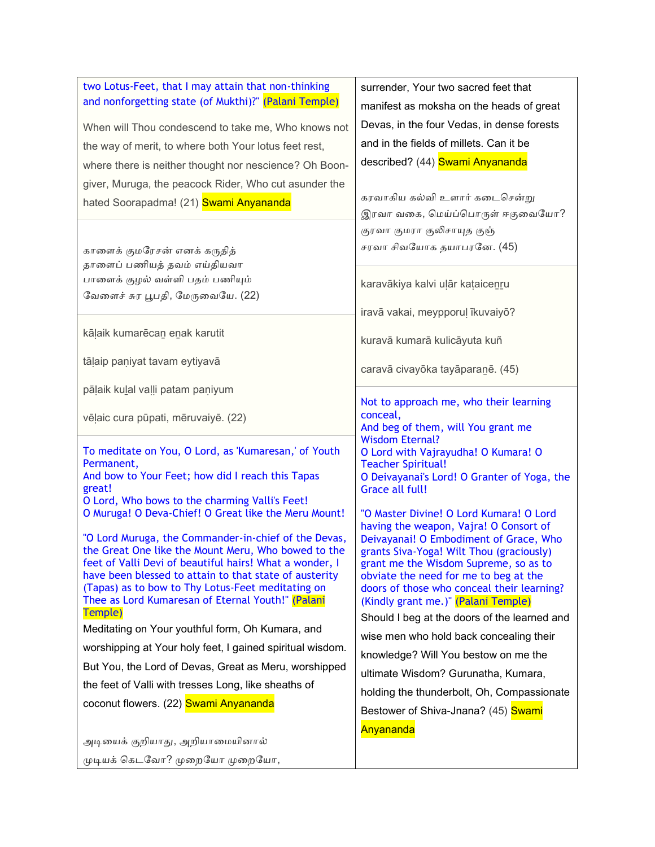| two Lotus-Feet, that I may attain that non-thinking                                                            | surrender, Your two sacred feet that                                              |
|----------------------------------------------------------------------------------------------------------------|-----------------------------------------------------------------------------------|
| and nonforgetting state (of Mukthi)?" (Palani Temple)                                                          | manifest as moksha on the heads of great                                          |
| When will Thou condescend to take me, Who knows not                                                            | Devas, in the four Vedas, in dense forests                                        |
| the way of merit, to where both Your lotus feet rest,                                                          | and in the fields of millets. Can it be                                           |
| where there is neither thought nor nescience? Oh Boon-                                                         | described? (44) Swami Anyananda                                                   |
| giver, Muruga, the peacock Rider, Who cut asunder the                                                          |                                                                                   |
| hated Soorapadma! (21) <b>Swami Anyananda</b>                                                                  | கரவாகிய கல்வி உளார் கடைசென்று                                                     |
|                                                                                                                | இரவா வகை, மெய்ப்பொருள் ஈகுவையோ?                                                   |
|                                                                                                                | குரவா குமரா குலிசாயுத குஞ்                                                        |
| காளைக் குமரேசன் எனக் கருதித்                                                                                   | சரவா சிவயோக தயாபரனே. (45)                                                         |
| தாளைப் பணியத் தவம் எய்தியவா                                                                                    |                                                                                   |
| பாளைக் குழல் வள்ளி பதம் பணியும்                                                                                | karavākiya kalvi uļār kataicenru                                                  |
| வேளைச் சுர பூபதி, மேருவையே. (22)                                                                               | iravā vakai, meypporuļ īkuvaiyō?                                                  |
|                                                                                                                |                                                                                   |
| kāļaik kumarēcan enak karutit                                                                                  | kuravā kumarā kulicāyuta kuñ                                                      |
| tāļaip paņiyat tavam eytiyavā                                                                                  |                                                                                   |
|                                                                                                                | caravā civayōka tayāparanē. (45)                                                  |
| pāļaik kulal vaļļi patam paņiyum                                                                               | Not to approach me, who their learning                                            |
| vēļaic cura pūpati, mēruvaiyē. (22)                                                                            | conceal,                                                                          |
|                                                                                                                | And beg of them, will You grant me<br><b>Wisdom Eternal?</b>                      |
| To meditate on You, O Lord, as 'Kumaresan,' of Youth                                                           | O Lord with Vajrayudha! O Kumara! O                                               |
| Permanent,                                                                                                     | <b>Teacher Spiritual!</b>                                                         |
| And bow to Your Feet; how did I reach this Tapas<br>great!                                                     | O Deivayanai's Lord! O Granter of Yoga, the<br>Grace all full!                    |
| O Lord, Who bows to the charming Valli's Feet!                                                                 |                                                                                   |
| O Muruga! O Deva-Chief! O Great like the Meru Mount!                                                           | "O Master Divine! O Lord Kumara! O Lord<br>having the weapon, Vajra! O Consort of |
| "O Lord Muruga, the Commander-in-chief of the Devas,                                                           | Deivayanai! O Embodiment of Grace, Who                                            |
| the Great One like the Mount Meru, Who bowed to the<br>feet of Valli Devi of beautiful hairs! What a wonder, I | grants Siva-Yoga! Wilt Thou (graciously)                                          |
| have been blessed to attain to that state of austerity                                                         | grant me the Wisdom Supreme, so as to<br>obviate the need for me to beg at the    |
| (Tapas) as to bow to Thy Lotus-Feet meditating on                                                              | doors of those who conceal their learning?                                        |
| Thee as Lord Kumaresan of Eternal Youth!" (Palani<br>Temple)                                                   | (Kindly grant me.)" (Palani Temple)                                               |
| Meditating on Your youthful form, Oh Kumara, and                                                               | Should I beg at the doors of the learned and                                      |
| worshipping at Your holy feet, I gained spiritual wisdom.                                                      | wise men who hold back concealing their                                           |
| But You, the Lord of Devas, Great as Meru, worshipped                                                          | knowledge? Will You bestow on me the                                              |
| the feet of Valli with tresses Long, like sheaths of                                                           | ultimate Wisdom? Gurunatha, Kumara,                                               |
| coconut flowers. (22) Swami Anyananda                                                                          | holding the thunderbolt, Oh, Compassionate                                        |
|                                                                                                                | Bestower of Shiva-Jnana? (45) Swami                                               |
| அடியைக் குறியாது, அறியாமையினால்                                                                                | Anyananda                                                                         |
| முடியக் கெடவோ? முறையோ முறையோ,                                                                                  |                                                                                   |
|                                                                                                                |                                                                                   |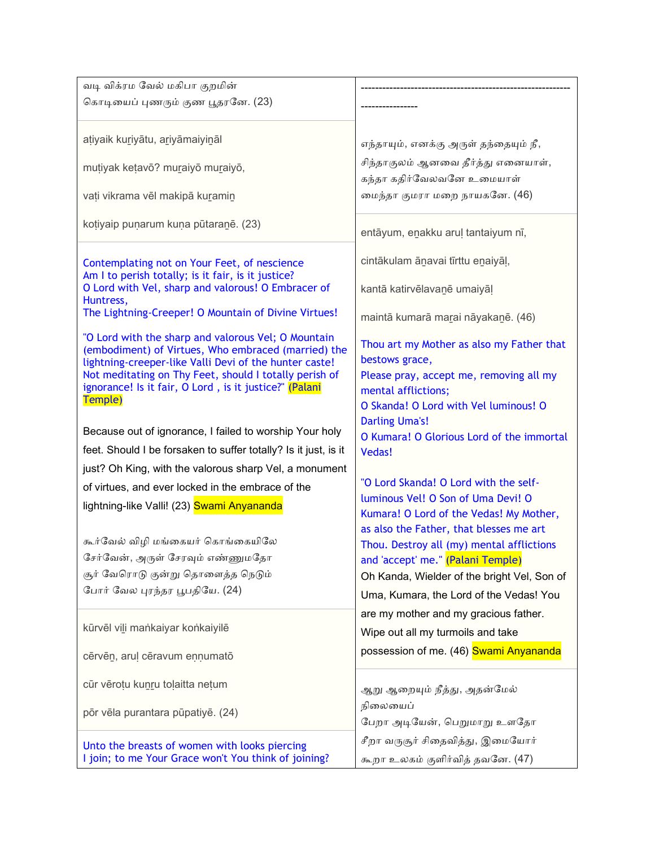| வடி விக்ரம வேல் மகிபா குறமின்                                                                                                                                                                                                                                                                       |                                                                                                                                                                        |
|-----------------------------------------------------------------------------------------------------------------------------------------------------------------------------------------------------------------------------------------------------------------------------------------------------|------------------------------------------------------------------------------------------------------------------------------------------------------------------------|
| கொடியைப் புணரும் குண பூதரனே. (23)                                                                                                                                                                                                                                                                   |                                                                                                                                                                        |
| atiyaik kuriyātu, ariyāmaiyināl                                                                                                                                                                                                                                                                     | எந்தாயும், எனக்கு அருள் தந்தையும் நீ,                                                                                                                                  |
| mutiyak ketavō? muraiyō muraiyō,                                                                                                                                                                                                                                                                    | சிந்தாகுலம் ஆனவை தீர்த்து எனையாள்,<br>கந்தா கதிர்வேலவனே உமையாள்                                                                                                        |
| vați vikrama vēl makipā kuramin                                                                                                                                                                                                                                                                     | மைந்தா குமரா மறை நாயகனே. (46)                                                                                                                                          |
| kotiyaip punarum kuna pūtaranē. (23)                                                                                                                                                                                                                                                                | entāyum, enakku aruļ tantaiyum nī,                                                                                                                                     |
| Contemplating not on Your Feet, of nescience<br>Am I to perish totally; is it fair, is it justice?                                                                                                                                                                                                  | cintākulam ānavai tīrttu enaiyāļ,                                                                                                                                      |
| O Lord with Vel, sharp and valorous! O Embracer of<br>Huntress,                                                                                                                                                                                                                                     | kantā katirvēlavanē umaiyāl                                                                                                                                            |
| The Lightning-Creeper! O Mountain of Divine Virtues!                                                                                                                                                                                                                                                | maintā kumarā marai nāyakanē. (46)                                                                                                                                     |
| "O Lord with the sharp and valorous Vel; O Mountain<br>(embodiment) of Virtues, Who embraced (married) the<br>lightning-creeper-like Valli Devi of the hunter caste!<br>Not meditating on Thy Feet, should I totally perish of<br>ignorance! Is it fair, O Lord, is it justice?" (Palani<br>Temple) | Thou art my Mother as also my Father that<br>bestows grace,<br>Please pray, accept me, removing all my<br>mental afflictions;<br>O Skanda! O Lord with Vel luminous! O |
| Because out of ignorance, I failed to worship Your holy                                                                                                                                                                                                                                             | <b>Darling Uma's!</b><br>O Kumara! O Glorious Lord of the immortal                                                                                                     |
| feet. Should I be forsaken to suffer totally? Is it just, is it                                                                                                                                                                                                                                     | <b>Vedas!</b>                                                                                                                                                          |
| just? Oh King, with the valorous sharp Vel, a monument                                                                                                                                                                                                                                              |                                                                                                                                                                        |
| of virtues, and ever locked in the embrace of the                                                                                                                                                                                                                                                   | "O Lord Skanda! O Lord with the self-                                                                                                                                  |
| lightning-like Valli! (23) Swami Anyananda                                                                                                                                                                                                                                                          | luminous Vel! O Son of Uma Devi! O<br>Kumara! O Lord of the Vedas! My Mother,                                                                                          |
| கூர்வேல் விழி மங்கையர் கொங்கையிலே                                                                                                                                                                                                                                                                   | as also the Father, that blesses me art<br>Thou. Destroy all (my) mental afflictions                                                                                   |
| சேர்வேன், அருள் சேரவும் எண்ணுமதோ                                                                                                                                                                                                                                                                    | and 'accept' me." (Palani Temple)                                                                                                                                      |
| சூர் வேரொடு குன்று தொளைத்த நெடும்                                                                                                                                                                                                                                                                   | Oh Kanda, Wielder of the bright Vel, Son of                                                                                                                            |
| போர் வேல புரந்தர பூபதியே. (24)                                                                                                                                                                                                                                                                      | Uma, Kumara, the Lord of the Vedas! You                                                                                                                                |
| kūrvēl vili mankaiyar konkaiyilē                                                                                                                                                                                                                                                                    | are my mother and my gracious father.<br>Wipe out all my turmoils and take                                                                                             |
| cērvēn, aruļ cēravum ennumatō                                                                                                                                                                                                                                                                       | possession of me. (46) Swami Anyananda                                                                                                                                 |
| cūr vērotu kunru toļaitta netum                                                                                                                                                                                                                                                                     | ஆறு ஆறையும் நீத்து, அதன்மேல்                                                                                                                                           |
| pōr vēla purantara pūpatiyē. (24)                                                                                                                                                                                                                                                                   | நிலையைப்<br>பேறா அடியேன், பெறுமாறு உளதோ                                                                                                                                |
| Unto the breasts of women with looks piercing<br>I join; to me Your Grace won't You think of joining?                                                                                                                                                                                               | சீறா வருசூர் சிதைவித்து, இமையோர்<br>கூறா உலகம் குளிர்வித் தவனே. (47)                                                                                                   |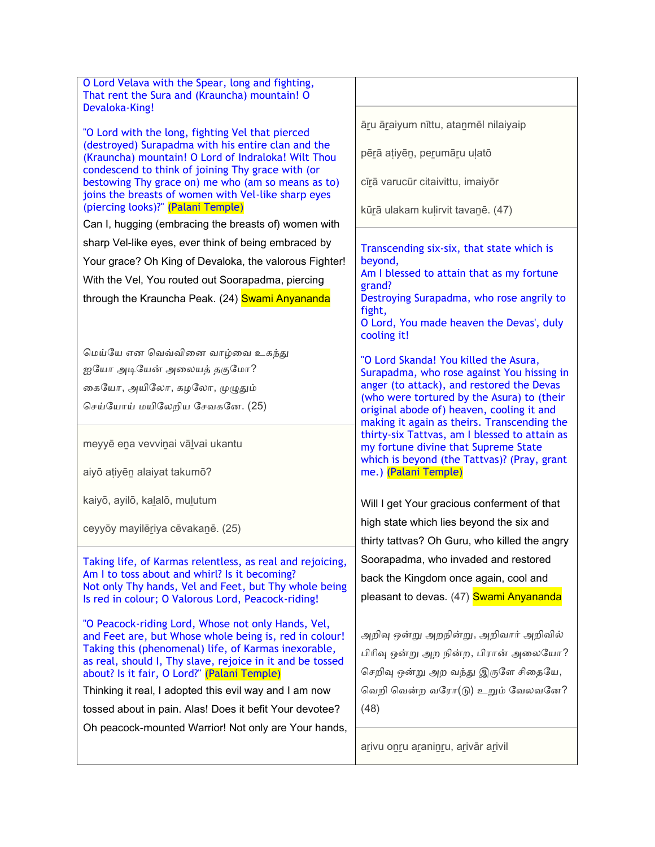| O Lord Velava with the Spear, long and fighting,<br>That rent the Sura and (Krauncha) mountain! O<br>Devaloka-King!                                                                                                                                                                                                                                                                                                                                           |                                                                                                                                                                  |
|---------------------------------------------------------------------------------------------------------------------------------------------------------------------------------------------------------------------------------------------------------------------------------------------------------------------------------------------------------------------------------------------------------------------------------------------------------------|------------------------------------------------------------------------------------------------------------------------------------------------------------------|
| "O Lord with the long, fighting Vel that pierced                                                                                                                                                                                                                                                                                                                                                                                                              | āru āraiyum nīttu, atanmēl nilaiyaip                                                                                                                             |
| (destroyed) Surapadma with his entire clan and the<br>(Krauncha) mountain! O Lord of Indraloka! Wilt Thou                                                                                                                                                                                                                                                                                                                                                     | pērā atiyēn, perumāru ulatō                                                                                                                                      |
| condescend to think of joining Thy grace with (or<br>bestowing Thy grace on) me who (am so means as to)<br>joins the breasts of women with Vel-like sharp eyes                                                                                                                                                                                                                                                                                                | cīrā varucūr citaivittu, imaiyōr                                                                                                                                 |
| (piercing looks)?" (Palani Temple)                                                                                                                                                                                                                                                                                                                                                                                                                            | kūrā ulakam kuļirvit tavanē. (47)                                                                                                                                |
| Can I, hugging (embracing the breasts of) women with                                                                                                                                                                                                                                                                                                                                                                                                          |                                                                                                                                                                  |
| sharp Vel-like eyes, ever think of being embraced by                                                                                                                                                                                                                                                                                                                                                                                                          | Transcending six-six, that state which is                                                                                                                        |
| Your grace? Oh King of Devaloka, the valorous Fighter!                                                                                                                                                                                                                                                                                                                                                                                                        | beyond,<br>Am I blessed to attain that as my fortune                                                                                                             |
| With the Vel, You routed out Soorapadma, piercing                                                                                                                                                                                                                                                                                                                                                                                                             | grand?                                                                                                                                                           |
| through the Krauncha Peak. (24) Swami Anyananda                                                                                                                                                                                                                                                                                                                                                                                                               | Destroying Surapadma, who rose angrily to<br>fight,<br>O Lord, You made heaven the Devas', duly<br>cooling it!                                                   |
| மெய்யே என வெவ்வினை வாழ்வை உகந்து                                                                                                                                                                                                                                                                                                                                                                                                                              | "O Lord Skanda! You killed the Asura,                                                                                                                            |
| ஐயோ அடியேன் அலையத் தகுமோ?                                                                                                                                                                                                                                                                                                                                                                                                                                     | Surapadma, who rose against You hissing in                                                                                                                       |
| கையோ, அயிலோ, கழலோ, முழுதும்                                                                                                                                                                                                                                                                                                                                                                                                                                   | anger (to attack), and restored the Devas                                                                                                                        |
| செய்யோய் மயிலேறிய சேவகனே. (25)                                                                                                                                                                                                                                                                                                                                                                                                                                | (who were tortured by the Asura) to (their<br>original abode of) heaven, cooling it and<br>making it again as theirs. Transcending the                           |
| meyyē ena vevviņai vālvai ukantu                                                                                                                                                                                                                                                                                                                                                                                                                              | thirty-six Tattvas, am I blessed to attain as<br>my fortune divine that Supreme State<br>which is beyond (the Tattvas)? (Pray, grant                             |
| aiyō atiyēn alaiyat takumō?                                                                                                                                                                                                                                                                                                                                                                                                                                   | me.) (Palani Temple)                                                                                                                                             |
| kaiyō, ayilō, kalalō, mulutum                                                                                                                                                                                                                                                                                                                                                                                                                                 | Will I get Your gracious conferment of that                                                                                                                      |
| ceyyōy mayilēriya cēvakanē. (25)                                                                                                                                                                                                                                                                                                                                                                                                                              | high state which lies beyond the six and<br>thirty tattvas? Oh Guru, who killed the angry                                                                        |
| Taking life, of Karmas relentless, as real and rejoicing,                                                                                                                                                                                                                                                                                                                                                                                                     | Soorapadma, who invaded and restored                                                                                                                             |
| Am I to toss about and whirl? Is it becoming?                                                                                                                                                                                                                                                                                                                                                                                                                 | back the Kingdom once again, cool and                                                                                                                            |
| Not only Thy hands, Vel and Feet, but Thy whole being<br>Is red in colour; O Valorous Lord, Peacock-riding!                                                                                                                                                                                                                                                                                                                                                   | pleasant to devas. (47) Swami Anyananda                                                                                                                          |
| "O Peacock-riding Lord, Whose not only Hands, Vel,<br>and Feet are, but Whose whole being is, red in colour!<br>Taking this (phenomenal) life, of Karmas inexorable,<br>as real, should I, Thy slave, rejoice in it and be tossed<br>about? Is it fair, O Lord?" (Palani Temple)<br>Thinking it real, I adopted this evil way and I am now<br>tossed about in pain. Alas! Does it befit Your devotee?<br>Oh peacock-mounted Warrior! Not only are Your hands, | அறிவு ஒன்று அறநின்று, அறிவார் அறிவில்<br>பிரிவு ஒன்று அற நின்ற, பிரான் அலையோ?<br>செறிவு ஒன்று அற வந்து இருளே சிதையே,<br>வெறி வென்ற வரோ(டு) உறும் வேலவனே?<br>(48) |
|                                                                                                                                                                                                                                                                                                                                                                                                                                                               | arivu onru araninru, arivār arivil                                                                                                                               |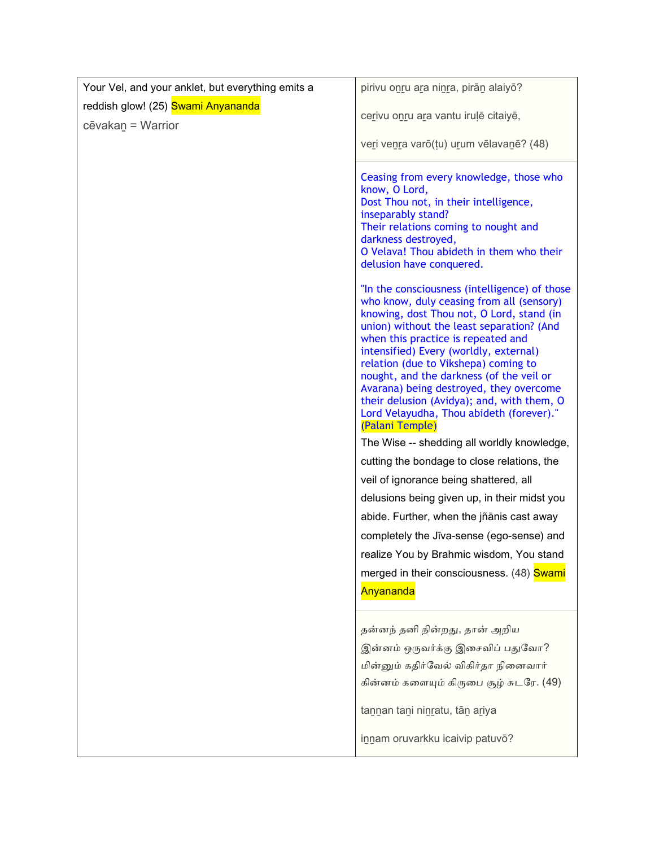| Your Vel, and your anklet, but everything emits a | pirivu onru ara ninra, pirān alaiyō?                                                                                                                                                                                                                                                                                                                                                                                                                                                                                                                            |
|---------------------------------------------------|-----------------------------------------------------------------------------------------------------------------------------------------------------------------------------------------------------------------------------------------------------------------------------------------------------------------------------------------------------------------------------------------------------------------------------------------------------------------------------------------------------------------------------------------------------------------|
| reddish glow! (25) Swami Anyananda                | cerivu onru ara vantu irulē citaiyē,                                                                                                                                                                                                                                                                                                                                                                                                                                                                                                                            |
| cēvakan = Warrior                                 |                                                                                                                                                                                                                                                                                                                                                                                                                                                                                                                                                                 |
|                                                   | veri venra varō(tu) urum vēlavanē? (48)                                                                                                                                                                                                                                                                                                                                                                                                                                                                                                                         |
|                                                   | Ceasing from every knowledge, those who<br>know, O Lord,<br>Dost Thou not, in their intelligence,<br>inseparably stand?<br>Their relations coming to nought and<br>darkness destroyed,<br>O Velava! Thou abideth in them who their<br>delusion have conquered.                                                                                                                                                                                                                                                                                                  |
|                                                   | "In the consciousness (intelligence) of those<br>who know, duly ceasing from all (sensory)<br>knowing, dost Thou not, O Lord, stand (in<br>union) without the least separation? (And<br>when this practice is repeated and<br>intensified) Every (worldly, external)<br>relation (due to Vikshepa) coming to<br>nought, and the darkness (of the veil or<br>Avarana) being destroyed, they overcome<br>their delusion (Avidya); and, with them, O<br>Lord Velayudha, Thou abideth (forever)."<br>(Palani Temple)<br>The Wise -- shedding all worldly knowledge, |
|                                                   | cutting the bondage to close relations, the                                                                                                                                                                                                                                                                                                                                                                                                                                                                                                                     |
|                                                   | veil of ignorance being shattered, all                                                                                                                                                                                                                                                                                                                                                                                                                                                                                                                          |
|                                                   | delusions being given up, in their midst you                                                                                                                                                                                                                                                                                                                                                                                                                                                                                                                    |
|                                                   | abide. Further, when the jñānis cast away                                                                                                                                                                                                                                                                                                                                                                                                                                                                                                                       |
|                                                   | completely the Jīva-sense (ego-sense) and                                                                                                                                                                                                                                                                                                                                                                                                                                                                                                                       |
|                                                   | realize You by Brahmic wisdom, You stand                                                                                                                                                                                                                                                                                                                                                                                                                                                                                                                        |
|                                                   | merged in their consciousness. (48) Swami                                                                                                                                                                                                                                                                                                                                                                                                                                                                                                                       |
|                                                   | Anyananda                                                                                                                                                                                                                                                                                                                                                                                                                                                                                                                                                       |
|                                                   | தன்னந் தனி நின்றது, தான் அறிய<br>இன்னம் ஒருவர்க்கு இசைவிப் பதுவோ?<br>மின்னும் கதிர்வேல் விகிர்தா நினைவார்<br>கின்னம் களையும் கிருபை சூழ் சுடரே. (49)                                                                                                                                                                                                                                                                                                                                                                                                            |
|                                                   | tannan tani ninratu, tān ariya                                                                                                                                                                                                                                                                                                                                                                                                                                                                                                                                  |
|                                                   | innam oruvarkku icaivip patuvō?                                                                                                                                                                                                                                                                                                                                                                                                                                                                                                                                 |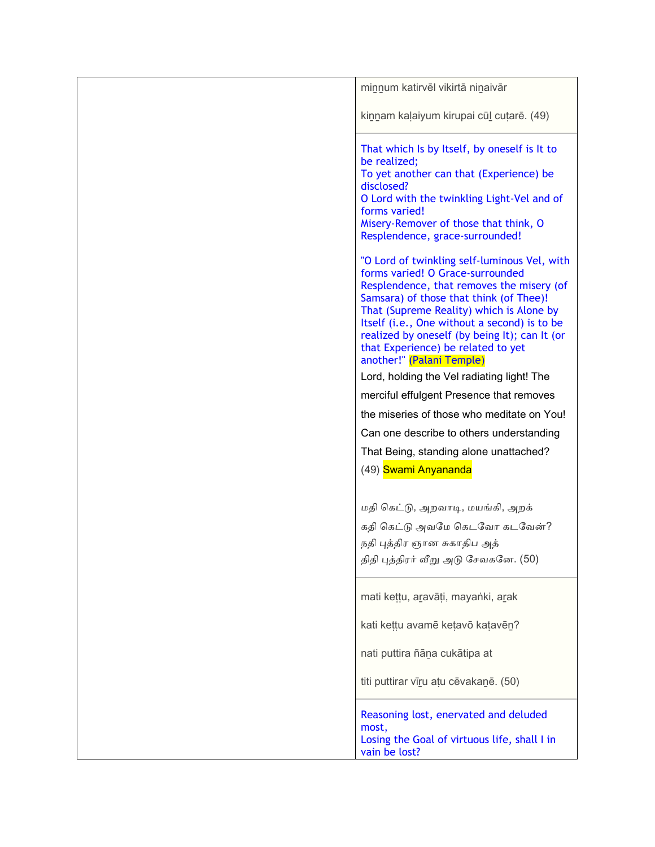| minnum katirvēl vikirtā ninaivār                                                                                                                                                                                                                                                                                                                                                         |
|------------------------------------------------------------------------------------------------------------------------------------------------------------------------------------------------------------------------------------------------------------------------------------------------------------------------------------------------------------------------------------------|
| kinnam kalaiyum kirupai cūl cutarē. (49)                                                                                                                                                                                                                                                                                                                                                 |
| That which Is by Itself, by oneself is It to<br>be realized;<br>To yet another can that (Experience) be<br>disclosed?<br>O Lord with the twinkling Light-Vel and of<br>forms varied!<br>Misery-Remover of those that think, O<br>Resplendence, grace-surrounded!                                                                                                                         |
| "O Lord of twinkling self-luminous Vel, with<br>forms varied! O Grace-surrounded<br>Resplendence, that removes the misery (of<br>Samsara) of those that think (of Thee)!<br>That (Supreme Reality) which is Alone by<br>Itself (i.e., One without a second) is to be<br>realized by oneself (by being It); can It (or<br>that Experience) be related to yet<br>another!" (Palani Temple) |
| Lord, holding the Vel radiating light! The                                                                                                                                                                                                                                                                                                                                               |
| merciful effulgent Presence that removes                                                                                                                                                                                                                                                                                                                                                 |
| the miseries of those who meditate on You!                                                                                                                                                                                                                                                                                                                                               |
| Can one describe to others understanding                                                                                                                                                                                                                                                                                                                                                 |
| That Being, standing alone unattached?                                                                                                                                                                                                                                                                                                                                                   |
| (49) Swami Anyananda                                                                                                                                                                                                                                                                                                                                                                     |
| மதி கெட்டு, அறவாடி, மயங்கி, அறக்                                                                                                                                                                                                                                                                                                                                                         |
| கதி கெட்டு அவமே கெடவோ கடவேன்?                                                                                                                                                                                                                                                                                                                                                            |
| நதி புத்திர ஞான சுகாதிப அத்                                                                                                                                                                                                                                                                                                                                                              |
| திதி புத்திரர் வீறு அடு சேவகனே. (50)                                                                                                                                                                                                                                                                                                                                                     |
| mati kettu, aravāti, mayanki, arak                                                                                                                                                                                                                                                                                                                                                       |
| kati kettu avamē ketavō katavēn?                                                                                                                                                                                                                                                                                                                                                         |
| nati puttira ñāna cukātipa at                                                                                                                                                                                                                                                                                                                                                            |
| titi puttirar vīru atu cēvakanē. (50)                                                                                                                                                                                                                                                                                                                                                    |
| Reasoning lost, enervated and deluded<br>most,<br>Losing the Goal of virtuous life, shall I in<br>vain be lost?                                                                                                                                                                                                                                                                          |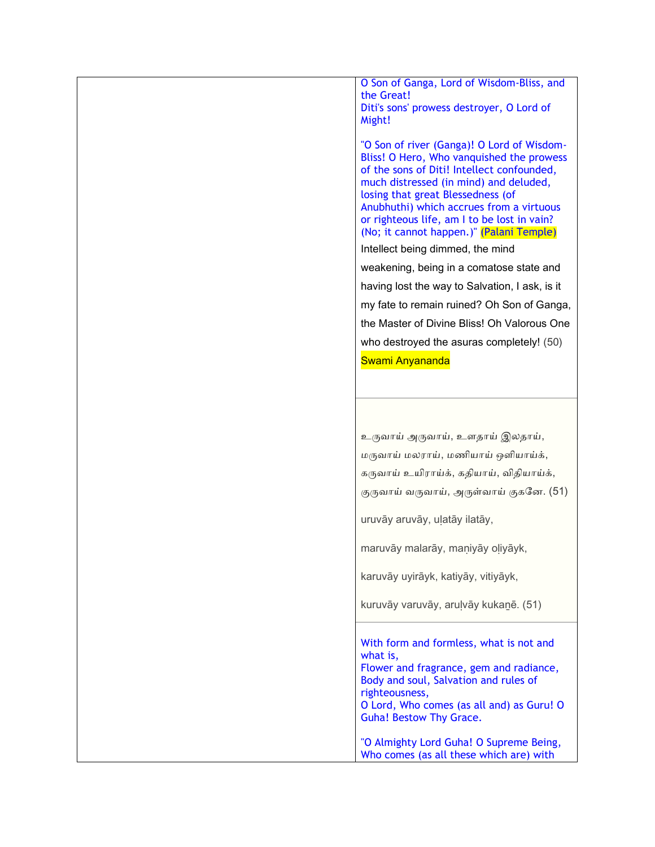O Son of Ganga, Lord of Wisdom-Bliss, and the Great! Diti's sons' prowess destroyer, O Lord of Might!

"O Son of river (Ganga)! O Lord of Wisdom-Bliss! O Hero, Who vanquished the prowess of the sons of Diti! Intellect confounded, much distressed (in mind) and deluded, losing that great Blessedness (of Anubhuthi) which accrues from a virtuous or righteous life, am I to be lost in vain? (No; it cannot happen.)" (Palani Temple)

Intellect being dimmed, the mind weakening, being in a comatose state and having lost the way to Salvation, I ask, is it my fate to remain ruined? Oh Son of Ganga, the Master of Divine Bliss! Oh Valorous One who destroyed the asuras completely! (50) Swami Anyananda

உருவாய் அருவாய், உளதாய் இலதாய், மருோய் மைராய், மணியாய் ஒைியாய்க், கருவாய் உயிராய்க், கதியாய், விதியாய்க், குருவாய் வருவாய், அருள்வாய் குகனே. (51)

uruvāy aruvāy, uḷatāy ilatāy,

maruvāy malarāy, maniyāy oliyāyk,

karuvāy uyirāyk, katiyāy, vitiyāyk,

kuruvāy varuvāy, aruḷvāy kukaṉē. (51)

With form and formless, what is not and what is, Flower and fragrance, gem and radiance, Body and soul, Salvation and rules of righteousness,

O Lord, Who comes (as all and) as Guru! O Guha! Bestow Thy Grace.

"O Almighty Lord Guha! O Supreme Being, Who comes (as all these which are) with